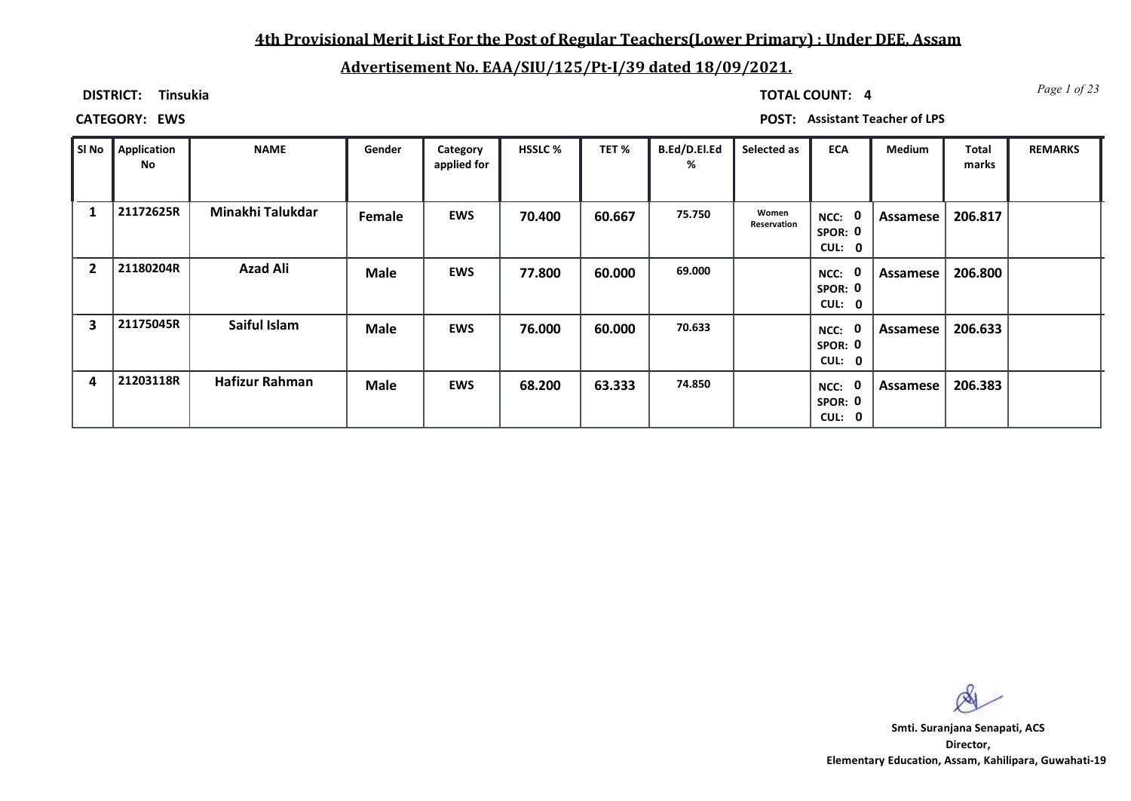## **4th Provisional Merit List For the Post of Regular Teachers(Lower Primary) : Under DEE, Assam**

# **Advertisement No. EAA/SIU/125/Pt-I/39 dated 18/09/2021.**

**DISTRICT: Tinsukia**

*Page 1 of 23* **TOTAL COUNT: 4**

**CATEGORY: EWS POST: Assistant Teacher of LPS**

| ∥ SI No | Application<br>No | <b>NAME</b>           | Gender      | Category<br>applied for | <b>HSSLC %</b> | TET %  | B.Ed/D.El.Ed<br>% | Selected as          | <b>ECA</b>                               | Medium   | <b>Total</b><br>marks | <b>REMARKS</b> |
|---------|-------------------|-----------------------|-------------|-------------------------|----------------|--------|-------------------|----------------------|------------------------------------------|----------|-----------------------|----------------|
|         | 21172625R         | Minakhi Talukdar      | Female      | <b>EWS</b>              | 70.400         | 60.667 | 75.750            | Women<br>Reservation | $\mathbf 0$<br>NCC:<br>SPOR: 0<br>CUL: 0 | Assamese | 206.817               |                |
| 2       | 21180204R         | <b>Azad Ali</b>       | <b>Male</b> | <b>EWS</b>              | 77.800         | 60.000 | 69.000            |                      | 0<br>NCC:<br>SPOR: 0<br>CUL: 0           | Assamese | 206.800               |                |
| 3       | 21175045R         | Saiful Islam          | <b>Male</b> | <b>EWS</b>              | 76.000         | 60.000 | 70.633            |                      | $\mathbf 0$<br>NCC:<br>SPOR: 0<br>CUL: 0 | Assamese | 206.633               |                |
| 4       | 21203118R         | <b>Hafizur Rahman</b> | <b>Male</b> | <b>EWS</b>              | 68.200         | 63.333 | 74.850            |                      | 0<br>NCC:<br>SPOR: 0<br>CUL: 0           | Assamese | 206.383               |                |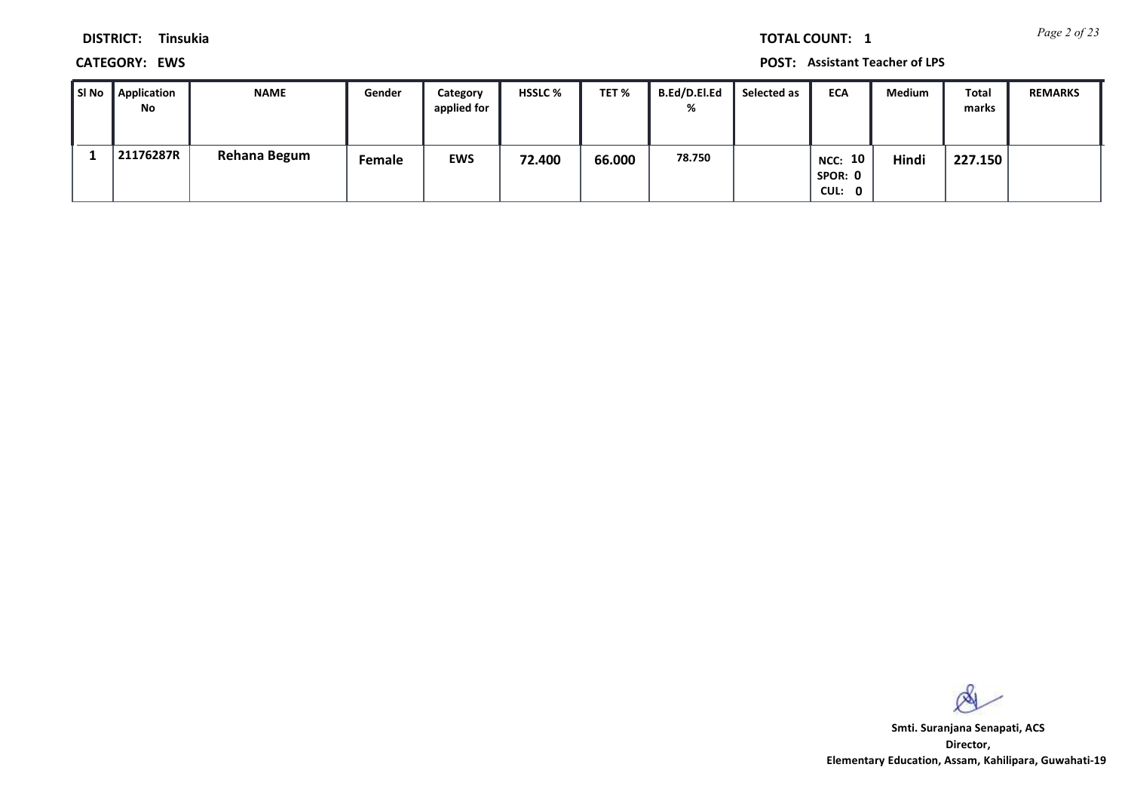*Page 2 of 23* **TOTAL COUNT: 1**

**DISTRICT: Tinsukia**

**CATEGORY: EWS POST: Assistant Teacher of LPS**

| l SI No | Application<br><b>No</b> | <b>NAME</b>  | Gender | Category<br>applied for | <b>HSSLC %</b> | TET %  | <b>B.Ed/D.El.Ed</b><br>% | Selected as | <b>ECA</b>                   | <b>Medium</b> | Total<br>marks | <b>REMARKS</b> |
|---------|--------------------------|--------------|--------|-------------------------|----------------|--------|--------------------------|-------------|------------------------------|---------------|----------------|----------------|
|         | 21176287R                | Rehana Begum | Female | <b>EWS</b>              | 72.400         | 66.000 | 78.750                   |             | NCC: 10<br>SPOR: 0<br>CUL: 0 | Hindi         | 227.150        |                |

 $\infty$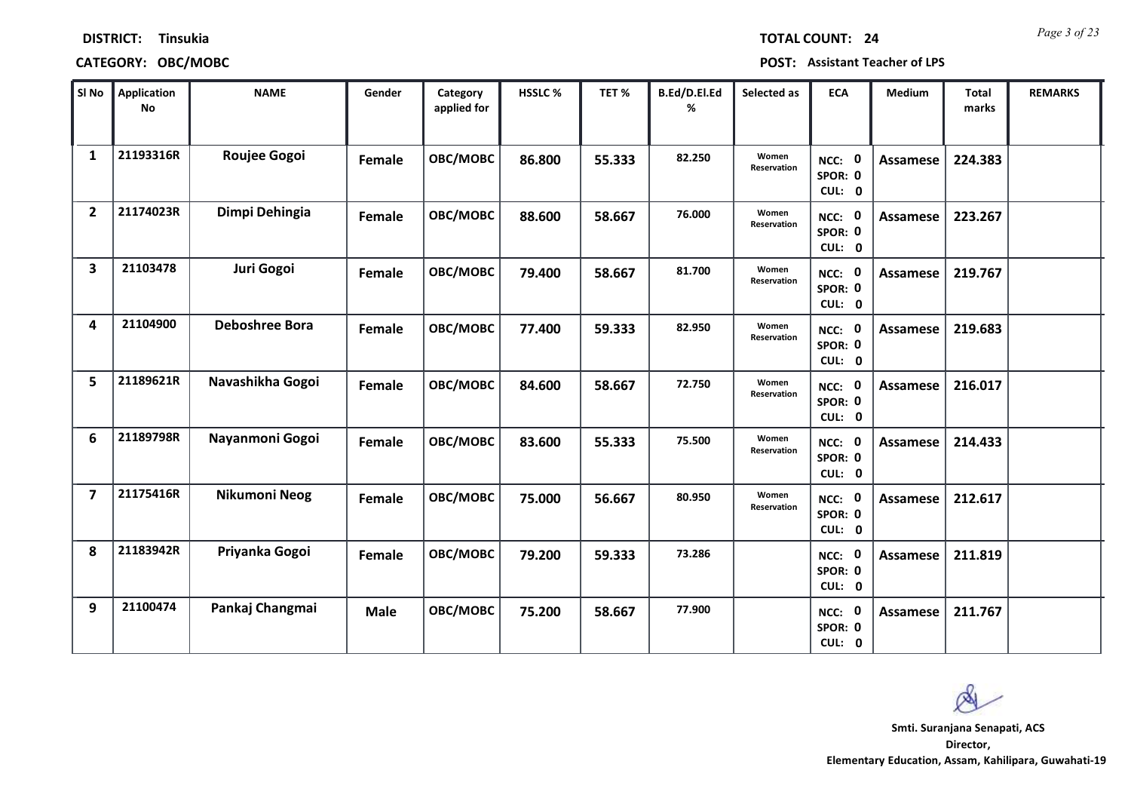| <b>TOTAL COUNT:</b> |  |  | $\overline{2}$ |
|---------------------|--|--|----------------|
|                     |  |  |                |

### **DISTRICT: Tinsukia**

## **CATEGORY: OBC/MOBC POST: Assistant Teacher of LPS**

| SI No                   | <b>Application</b><br>No | <b>NAME</b>           | Gender      | Category<br>applied for | HSSLC % | TET%   | B.Ed/D.El.Ed<br>% | Selected as          | <b>ECA</b>                  | Medium          | <b>Total</b><br>marks | <b>REMARKS</b> |
|-------------------------|--------------------------|-----------------------|-------------|-------------------------|---------|--------|-------------------|----------------------|-----------------------------|-----------------|-----------------------|----------------|
| 1                       | 21193316R                | Roujee Gogoi          | Female      | OBC/MOBC                | 86.800  | 55.333 | 82.250            | Women<br>Reservation | NCC: 0<br>SPOR: 0<br>CUL: 0 | <b>Assamese</b> | 224.383               |                |
| $\overline{2}$          | 21174023R                | Dimpi Dehingia        | Female      | OBC/MOBC                | 88.600  | 58.667 | 76.000            | Women<br>Reservation | NCC: 0<br>SPOR: 0<br>CUL: 0 | <b>Assamese</b> | 223.267               |                |
| 3                       | 21103478                 | Juri Gogoi            | Female      | OBC/MOBC                | 79.400  | 58.667 | 81.700            | Women<br>Reservation | NCC: 0<br>SPOR: 0<br>CUL: 0 | <b>Assamese</b> | 219.767               |                |
| 4                       | 21104900                 | <b>Deboshree Bora</b> | Female      | OBC/MOBC                | 77.400  | 59.333 | 82.950            | Women<br>Reservation | NCC: 0<br>SPOR: 0<br>CUL: 0 | <b>Assamese</b> | 219.683               |                |
| 5                       | 21189621R                | Navashikha Gogoi      | Female      | OBC/MOBC                | 84.600  | 58.667 | 72.750            | Women<br>Reservation | NCC: 0<br>SPOR: 0<br>CUL: 0 | <b>Assamese</b> | 216.017               |                |
| 6                       | 21189798R                | Nayanmoni Gogoi       | Female      | OBC/MOBC                | 83.600  | 55.333 | 75.500            | Women<br>Reservation | NCC: 0<br>SPOR: 0<br>CUL: 0 | <b>Assamese</b> | 214.433               |                |
| $\overline{\mathbf{z}}$ | 21175416R                | Nikumoni Neog         | Female      | OBC/MOBC                | 75.000  | 56.667 | 80.950            | Women<br>Reservation | NCC: 0<br>SPOR: 0<br>CUL: 0 | <b>Assamese</b> | 212.617               |                |
| 8                       | 21183942R                | Priyanka Gogoi        | Female      | OBC/MOBC                | 79.200  | 59.333 | 73.286            |                      | NCC: 0<br>SPOR: 0<br>CUL: 0 | <b>Assamese</b> | 211.819               |                |
| 9                       | 21100474                 | Pankaj Changmai       | <b>Male</b> | OBC/MOBC                | 75.200  | 58.667 | 77.900            |                      | NCC: 0<br>SPOR: 0<br>CUL: 0 | <b>Assamese</b> | 211.767               |                |

 $\infty$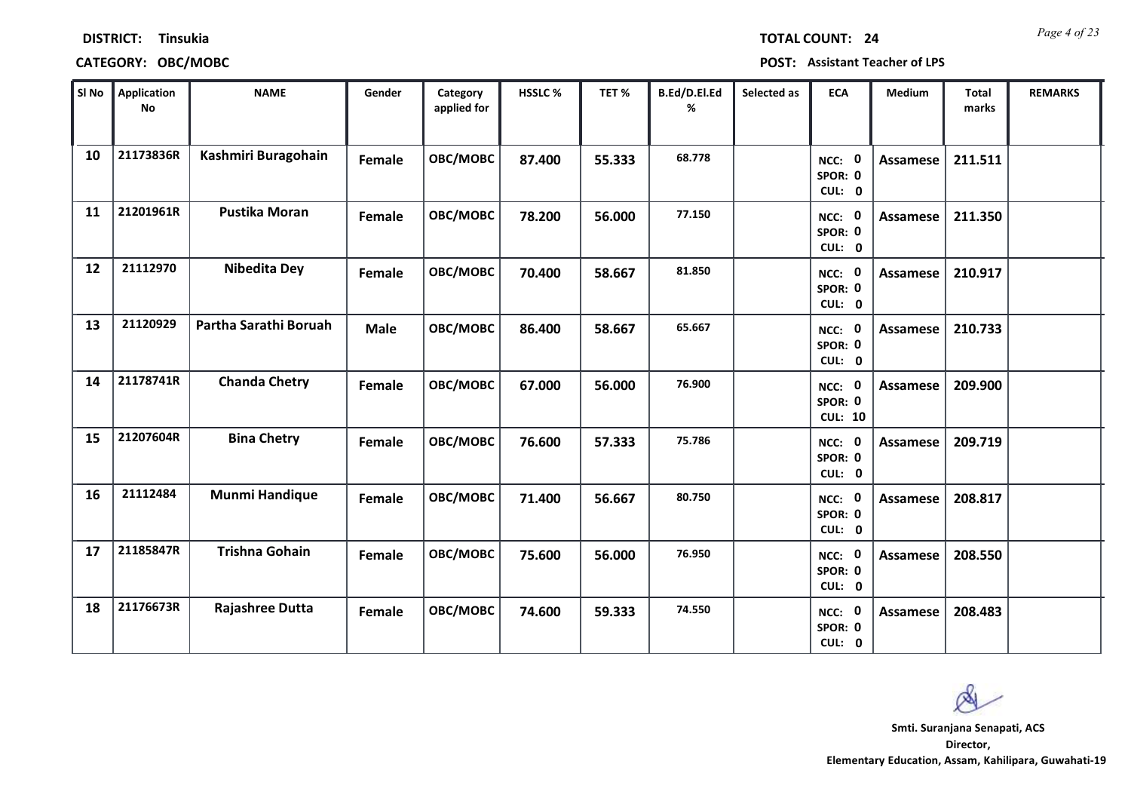| <b>TOTAL COUNT:</b> |  |  | $\overline{2}$ |
|---------------------|--|--|----------------|
|                     |  |  |                |

### **DISTRICT: Tinsukia**

## **CATEGORY: OBC/MOBC POST: Assistant Teacher of LPS**

| SI No | <b>Application</b><br>No | <b>NAME</b>           | Gender      | Category<br>applied for | HSSLC % | TET %  | B.Ed/D.El.Ed<br>% | Selected as | <b>ECA</b>                               | <b>Medium</b>   | <b>Total</b><br>marks | <b>REMARKS</b> |
|-------|--------------------------|-----------------------|-------------|-------------------------|---------|--------|-------------------|-------------|------------------------------------------|-----------------|-----------------------|----------------|
| 10    | 21173836R                | Kashmiri Buragohain   | Female      | OBC/MOBC                | 87.400  | 55.333 | 68.778            |             | NCC: 0<br>SPOR: 0<br>CUL: 0              | Assamese        | 211.511               |                |
| 11    | 21201961R                | <b>Pustika Moran</b>  | Female      | OBC/MOBC                | 78.200  | 56.000 | 77.150            |             | NCC: 0<br>SPOR: 0<br>CUL: 0              | Assamese        | 211.350               |                |
| 12    | 21112970                 | <b>Nibedita Dey</b>   | Female      | OBC/MOBC                | 70.400  | 58.667 | 81.850            |             | NCC: 0<br>SPOR: 0<br>CUL: 0              | <b>Assamese</b> | 210.917               |                |
| 13    | 21120929                 | Partha Sarathi Boruah | <b>Male</b> | OBC/MOBC                | 86.400  | 58.667 | 65.667            |             | $\mathbf 0$<br>NCC:<br>SPOR: 0<br>CUL: 0 | <b>Assamese</b> | 210.733               |                |
| 14    | 21178741R                | <b>Chanda Chetry</b>  | Female      | OBC/MOBC                | 67.000  | 56.000 | 76.900            |             | NCC: 0<br>SPOR: 0<br><b>CUL: 10</b>      | <b>Assamese</b> | 209.900               |                |
| 15    | 21207604R                | <b>Bina Chetry</b>    | Female      | OBC/MOBC                | 76.600  | 57.333 | 75.786            |             | NCC: 0<br>SPOR: 0<br>CUL: 0              | <b>Assamese</b> | 209.719               |                |
| 16    | 21112484                 | <b>Munmi Handique</b> | Female      | OBC/MOBC                | 71.400  | 56.667 | 80.750            |             | NCC: 0<br>SPOR: 0<br>CUL: 0              | <b>Assamese</b> | 208.817               |                |
| 17    | 21185847R                | <b>Trishna Gohain</b> | Female      | OBC/MOBC                | 75.600  | 56.000 | 76.950            |             | NCC: 0<br>SPOR: 0<br>CUL: 0              | <b>Assamese</b> | 208.550               |                |
| 18    | 21176673R                | Rajashree Dutta       | Female      | OBC/MOBC                | 74.600  | 59.333 | 74.550            |             | NCC: 0<br>SPOR: 0<br>CUL: 0              | Assamese        | 208.483               |                |

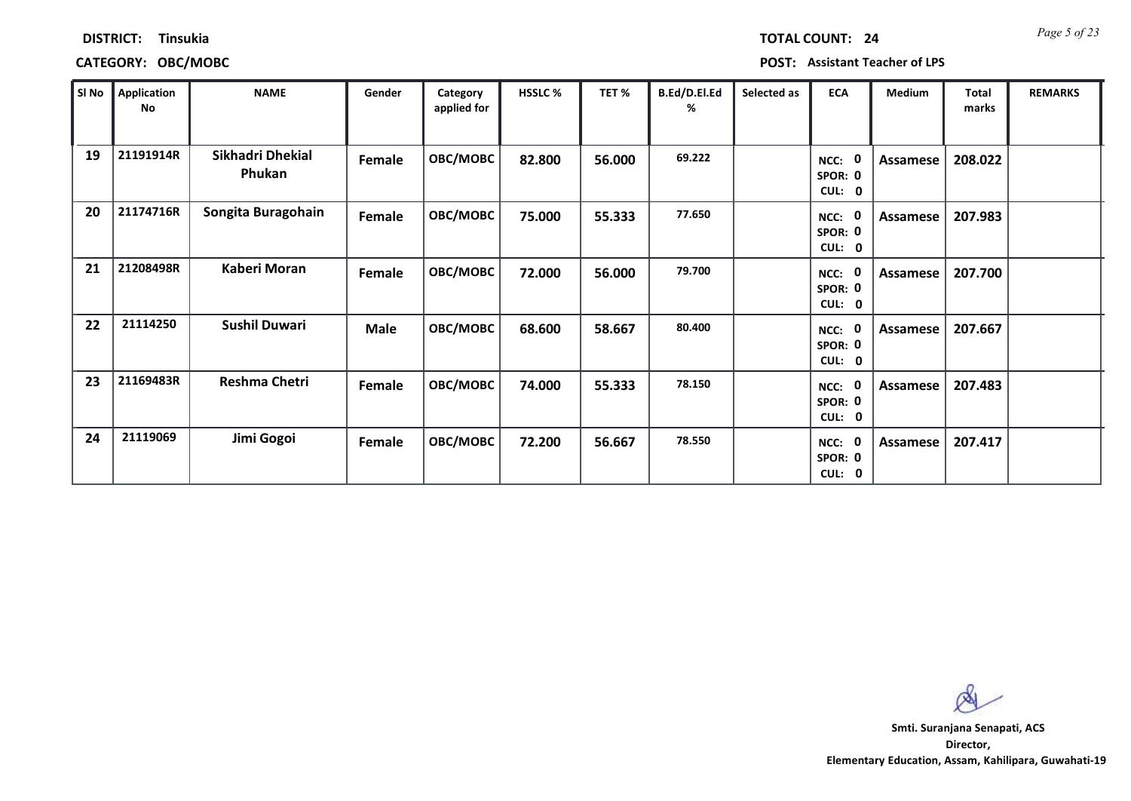*Page 5 of 23* **TOTAL COUNT: 24**

### **DISTRICT: Tinsukia**

# **CATEGORY: OBC/MOBC POST: Assistant Teacher of LPS**

| SI No | Application<br>No | <b>NAME</b>                | Gender      | Category<br>applied for | <b>HSSLC %</b> | TET %  | B.Ed/D.El.Ed<br>% | Selected as | <b>ECA</b>                                             | <b>Medium</b> | <b>Total</b><br>marks | <b>REMARKS</b> |
|-------|-------------------|----------------------------|-------------|-------------------------|----------------|--------|-------------------|-------------|--------------------------------------------------------|---------------|-----------------------|----------------|
| 19    | 21191914R         | Sikhadri Dhekial<br>Phukan | Female      | OBC/MOBC                | 82.800         | 56.000 | 69.222            |             | 0<br>NCC:<br>SPOR: 0<br>CUL: 0                         | Assamese      | 208.022               |                |
| 20    | 21174716R         | Songita Buragohain         | Female      | OBC/MOBC                | 75.000         | 55.333 | 77.650            |             | $\mathbf 0$<br>NCC:<br>SPOR: 0<br>CUL:<br>$\mathbf{0}$ | Assamese      | 207.983               |                |
| 21    | 21208498R         | Kaberi Moran               | Female      | OBC/MOBC                | 72.000         | 56.000 | 79.700            |             | $\mathbf 0$<br>NCC:<br>SPOR: 0<br>CUL: 0               | Assamese      | 207.700               |                |
| 22    | 21114250          | <b>Sushil Duwari</b>       | <b>Male</b> | OBC/MOBC                | 68.600         | 58.667 | 80.400            |             | 0<br>NCC:<br>SPOR: 0<br>CUL:<br>$\mathbf 0$            | Assamese      | 207.667               |                |
| 23    | 21169483R         | Reshma Chetri              | Female      | OBC/MOBC                | 74.000         | 55.333 | 78.150            |             | $\mathbf 0$<br>NCC:<br>SPOR: 0<br>CUL: 0               | Assamese      | 207.483               |                |
| 24    | 21119069          | Jimi Gogoi                 | Female      | OBC/MOBC                | 72.200         | 56.667 | 78.550            |             | 0<br>NCC:<br>SPOR: 0<br>CUL: 0                         | Assamese      | 207.417               |                |

 $\infty$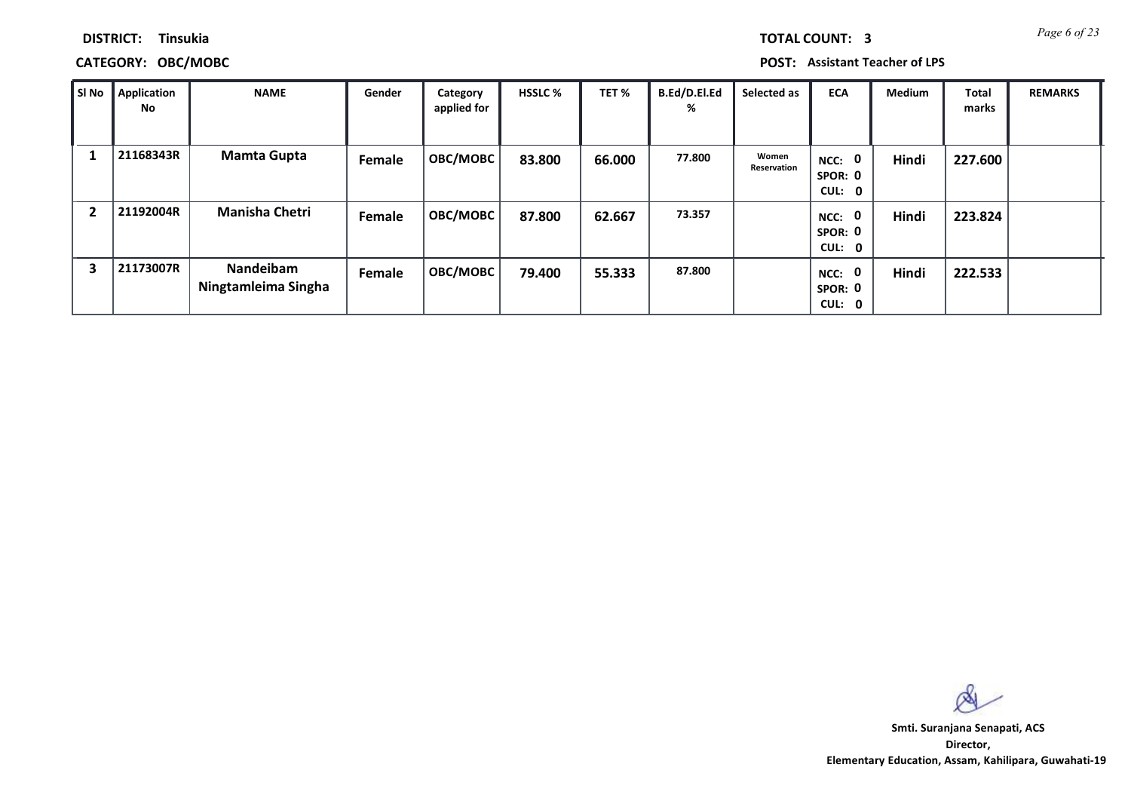*Page 6 of 23* **TOTAL COUNT: 3**

**DISTRICT: Tinsukia**

## **CATEGORY: OBC/MOBC POST: Assistant Teacher of LPS**

| SI No          | <b>Application</b><br>No | <b>NAME</b>                      | Gender | Category<br>applied for | <b>HSSLC %</b> | TET %  | B.Ed/D.El.Ed<br>% | Selected as          | <b>ECA</b>                               | <b>Medium</b> | <b>Total</b><br>marks | <b>REMARKS</b> |
|----------------|--------------------------|----------------------------------|--------|-------------------------|----------------|--------|-------------------|----------------------|------------------------------------------|---------------|-----------------------|----------------|
|                | 21168343R                | <b>Mamta Gupta</b>               | Female | OBC/MOBC                | 83.800         | 66.000 | 77.800            | Women<br>Reservation | NCC: 0<br>SPOR: 0<br>CUL: 0              | Hindi         | 227.600               |                |
| $\overline{2}$ | 21192004R                | <b>Manisha Chetri</b>            | Female | OBC/MOBC                | 87.800         | 62.667 | 73.357            |                      | 0<br>NCC:<br>SPOR: 0<br>CUL: 0           | Hindi         | 223.824               |                |
| 3              | 21173007R                | Nandeibam<br>Ningtamleima Singha | Female | OBC/MOBC                | 79.400         | 55.333 | 87.800            |                      | $\mathbf 0$<br>NCC:<br>SPOR: 0<br>CUL: 0 | Hindi         | 222.533               |                |

 $\infty$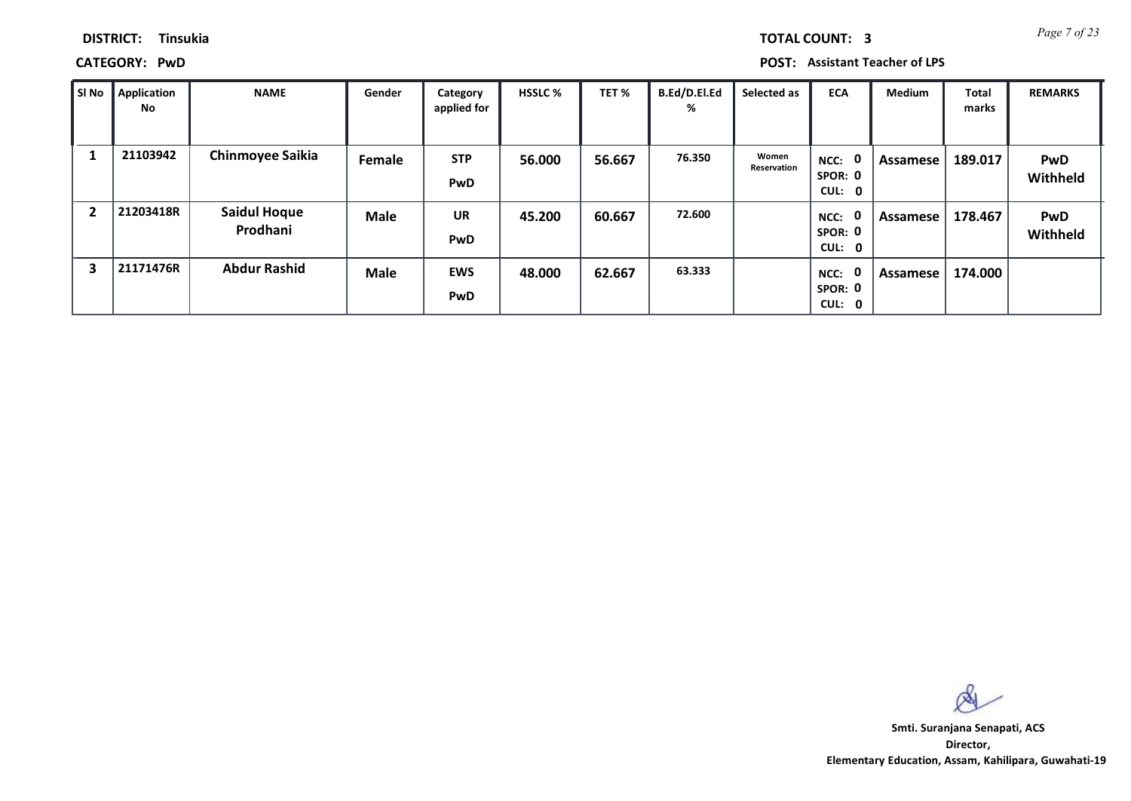*Page 7 of 23* **TOTAL COUNT: 3**

**DISTRICT: Tinsukia**

**CATEGORY: PwD POST: Assistant Teacher of LPS**

| SI No          | <b>Application</b><br>No | <b>NAME</b>                     | Gender      | Category<br>applied for  | <b>HSSLC %</b> | TET %  | B.Ed/D.El.Ed<br>% | Selected as          | <b>ECA</b>                               | <b>Medium</b> | Total<br>marks | <b>REMARKS</b>         |
|----------------|--------------------------|---------------------------------|-------------|--------------------------|----------------|--------|-------------------|----------------------|------------------------------------------|---------------|----------------|------------------------|
|                | 21103942                 | <b>Chinmoyee Saikia</b>         | Female      | <b>STP</b><br><b>PwD</b> | 56.000         | 56.667 | 76.350            | Women<br>Reservation | $\mathbf 0$<br>NCC:<br>SPOR: 0<br>CUL: 0 | Assamese      | 189.017        | <b>PwD</b><br>Withheld |
| $\overline{2}$ | 21203418R                | <b>Saidul Hoque</b><br>Prodhani | <b>Male</b> | <b>UR</b><br><b>PwD</b>  | 45.200         | 60.667 | 72.600            |                      | $\mathbf 0$<br>NCC:<br>SPOR: 0<br>CUL: 0 | Assamese      | 178.467        | <b>PwD</b><br>Withheld |
| 3              | 21171476R                | <b>Abdur Rashid</b>             | <b>Male</b> | <b>EWS</b><br><b>PwD</b> | 48.000         | 62.667 | 63.333            |                      | $\mathbf 0$<br>NCC:<br>SPOR: 0<br>CUL: 0 | Assamese      | 174.000        |                        |

 $\infty$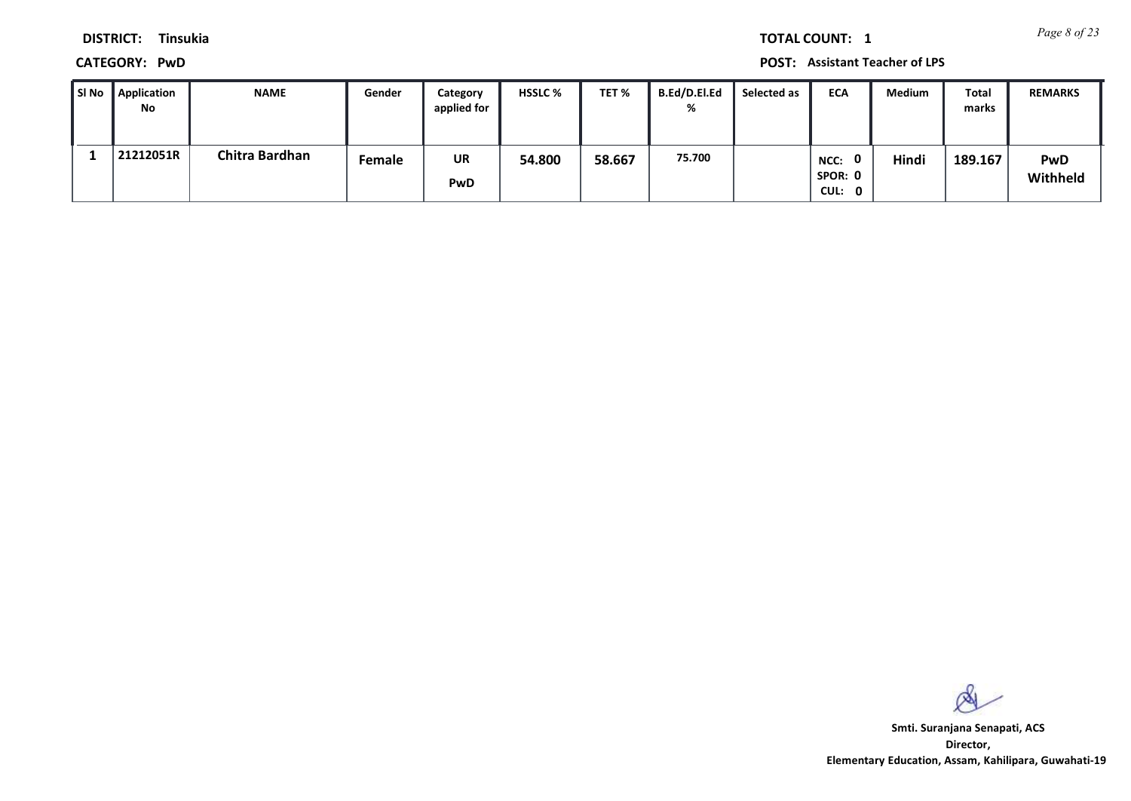*Page 8 of 23* **TOTAL COUNT: 1**

**DISTRICT: Tinsukia**

**CATEGORY: PwD POST: Assistant Teacher of LPS**

| l SI No | <b>Application</b><br>No | <b>NAME</b>    | Gender | Category<br>applied for | <b>HSSLC %</b> | TET %  | <b>B.Ed/D.El.Ed</b><br>% | Selected as | <b>ECA</b>                     | Medium | Total<br>marks | <b>REMARKS</b>  |
|---------|--------------------------|----------------|--------|-------------------------|----------------|--------|--------------------------|-------------|--------------------------------|--------|----------------|-----------------|
|         | 21212051R                | Chitra Bardhan | Female | UR<br><b>PwD</b>        | 54.800         | 58.667 | 75.700                   |             | 0<br>NCC:<br>SPOR: 0<br>CUL: 0 | Hindi  | 189.167        | PwD<br>Withheld |

 $\infty$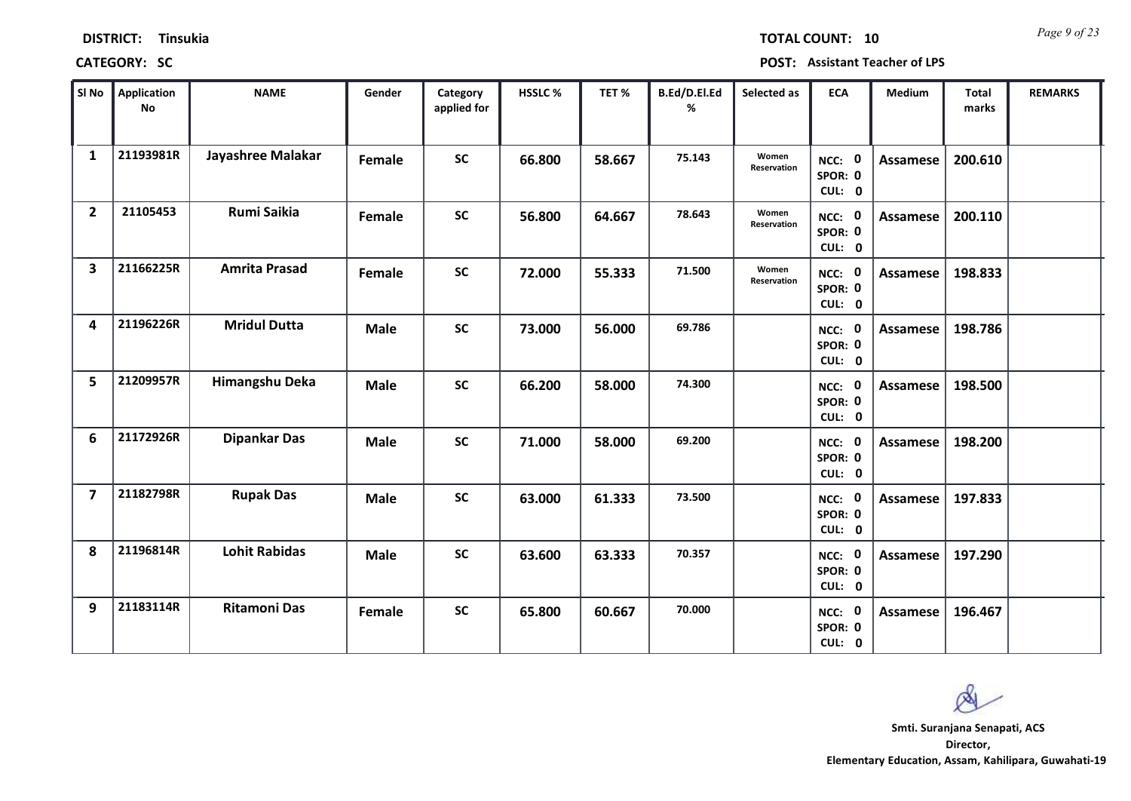*Page 9 of 23* **TOTAL COUNT: 10**

| SI No                   | <b>Application</b><br>No | <b>NAME</b>          | Gender      | Category<br>applied for | HSSLC % | TET%   | B.Ed/D.El.Ed<br>% | Selected as          | <b>ECA</b>                         | <b>Medium</b>   | <b>Total</b><br>marks | <b>REMARKS</b> |
|-------------------------|--------------------------|----------------------|-------------|-------------------------|---------|--------|-------------------|----------------------|------------------------------------|-----------------|-----------------------|----------------|
| $\mathbf{1}$            | 21193981R                | Jayashree Malakar    | Female      | <b>SC</b>               | 66.800  | 58.667 | 75.143            | Women<br>Reservation | NCC: 0<br>SPOR: 0<br>CUL: 0        | <b>Assamese</b> | 200.610               |                |
| $\overline{2}$          | 21105453                 | Rumi Saikia          | Female      | <b>SC</b>               | 56.800  | 64.667 | 78.643            | Women<br>Reservation | NCC: 0<br>SPOR: 0<br>CUL: 0        | <b>Assamese</b> | 200.110               |                |
| $\overline{\mathbf{3}}$ | 21166225R                | <b>Amrita Prasad</b> | Female      | SC                      | 72.000  | 55.333 | 71.500            | Women<br>Reservation | NCC: 0<br>SPOR: 0<br>CUL: 0        | Assamese        | 198.833               |                |
| 4                       | 21196226R                | <b>Mridul Dutta</b>  | <b>Male</b> | <b>SC</b>               | 73.000  | 56.000 | 69.786            |                      | <b>NCC: 0</b><br>SPOR: 0<br>CUL: 0 | Assamese        | 198.786               |                |
| 5                       | 21209957R                | Himangshu Deka       | <b>Male</b> | <b>SC</b>               | 66.200  | 58.000 | 74.300            |                      | NCC: 0<br>SPOR: 0<br>CUL: 0        | <b>Assamese</b> | 198.500               |                |
| 6                       | 21172926R                | <b>Dipankar Das</b>  | <b>Male</b> | <b>SC</b>               | 71.000  | 58.000 | 69.200            |                      | NCC: 0<br>SPOR: 0<br>CUL: 0        | <b>Assamese</b> | 198.200               |                |
| $\overline{7}$          | 21182798R                | <b>Rupak Das</b>     | <b>Male</b> | <b>SC</b>               | 63.000  | 61.333 | 73.500            |                      | NCC: 0<br>SPOR: 0<br>CUL: 0        | Assamese        | 197.833               |                |
| 8                       | 21196814R                | <b>Lohit Rabidas</b> | <b>Male</b> | <b>SC</b>               | 63.600  | 63.333 | 70.357            |                      | NCC: 0<br>SPOR: 0<br>CUL: 0        | <b>Assamese</b> | 197.290               |                |
| 9                       | 21183114R                | <b>Ritamoni Das</b>  | Female      | <b>SC</b>               | 65.800  | 60.667 | 70.000            |                      | NCC: 0<br>SPOR: 0<br>CUL: 0        | Assamese        | 196.467               |                |

 $\infty$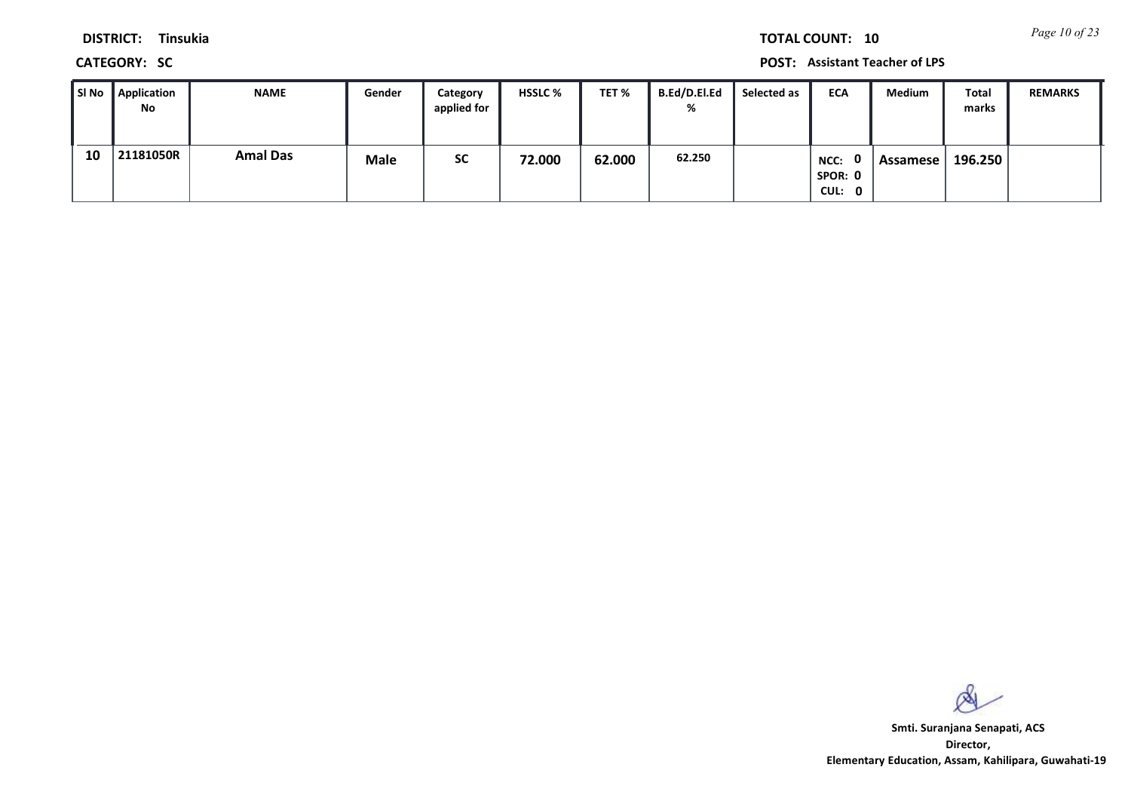*Page 10 of 23* **TOTAL COUNT: 10**

**DISTRICT: Tinsukia**

**CATEGORY: SC POST: Assistant Teacher of LPS**

| l SI No | Application<br><b>No</b> | <b>NAME</b>     | Gender      | Category<br>applied for | <b>HSSLC %</b> | TET %  | B.Ed/D.El.Ed<br>% | Selected as | <b>ECA</b>                | Medium   | Total<br>marks | <b>REMARKS</b> |
|---------|--------------------------|-----------------|-------------|-------------------------|----------------|--------|-------------------|-------------|---------------------------|----------|----------------|----------------|
| 10      | 21181050R                | <b>Amal Das</b> | <b>Male</b> | <b>SC</b>               | 72.000         | 62.000 | 62.250            |             | NCC:<br>SPOR: 0<br>CUL: 0 | Assamese | 196.250        |                |

 $\infty$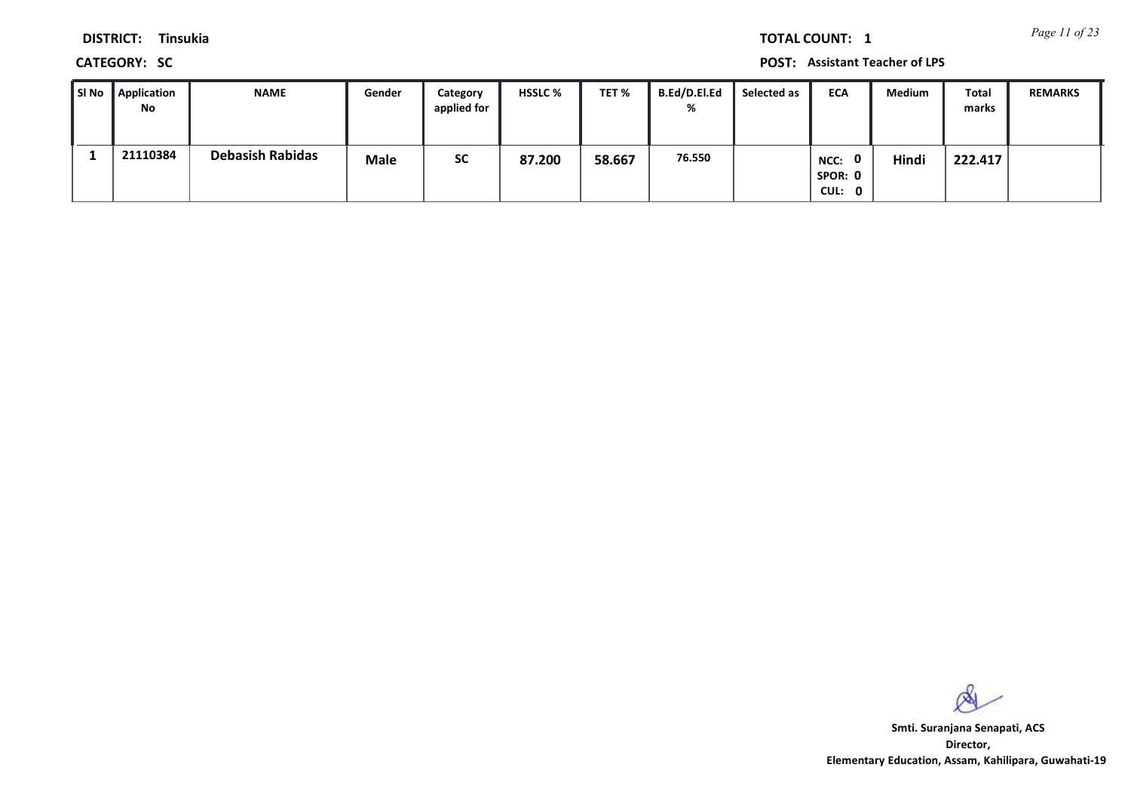*Page 11 of 23* **TOTAL COUNT: 1**

**DISTRICT: Tinsukia**

**CATEGORY: SC POST: Assistant Teacher of LPS**

| l SI No | Application<br><b>No</b> | <b>NAME</b>             | Gender      | Category<br>applied for | <b>HSSLC %</b> | TET %  | <b>B.Ed/D.El.Ed</b><br>% | Selected as | <b>ECA</b>                                | Medium | Total<br>marks | <b>REMARKS</b> |
|---------|--------------------------|-------------------------|-------------|-------------------------|----------------|--------|--------------------------|-------------|-------------------------------------------|--------|----------------|----------------|
|         | 21110384                 | <b>Debasish Rabidas</b> | <b>Male</b> | <b>SC</b>               | 87.200         | 58.667 | 76.550                   |             | $\mathbf{0}$<br>NCC:<br>SPOR: 0<br>CUL: 0 | Hindi  | 222.417        |                |

 $\infty$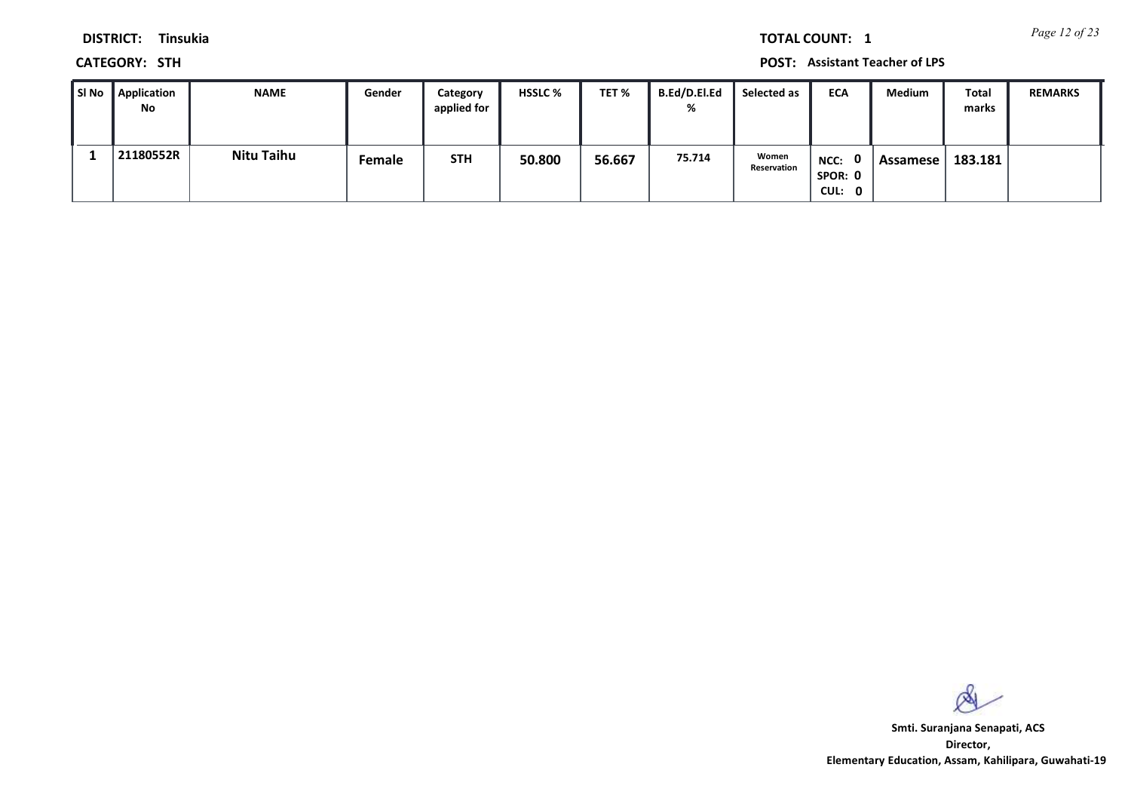*Page 12 of 23* **TOTAL COUNT: 1**

**DISTRICT: Tinsukia**

**CATEGORY: STH POST: Assistant Teacher of LPS**

| ∎SI No | Application<br><b>No</b> | <b>NAME</b> | Gender | Category<br>applied for | <b>HSSLC %</b> | TET %  | B.Ed/D.El.Ed<br>% | Selected as          | <b>ECA</b>                  | Medium   | Total<br>marks | <b>REMARKS</b> |
|--------|--------------------------|-------------|--------|-------------------------|----------------|--------|-------------------|----------------------|-----------------------------|----------|----------------|----------------|
|        | 21180552R                | Nitu Taihu  | Female | <b>STH</b>              | 50.800         | 56.667 | 75.714            | Women<br>Reservation | NCC: 0<br>SPOR: 0<br>CUL: 0 | Assamese | 183.181        |                |

 $\infty$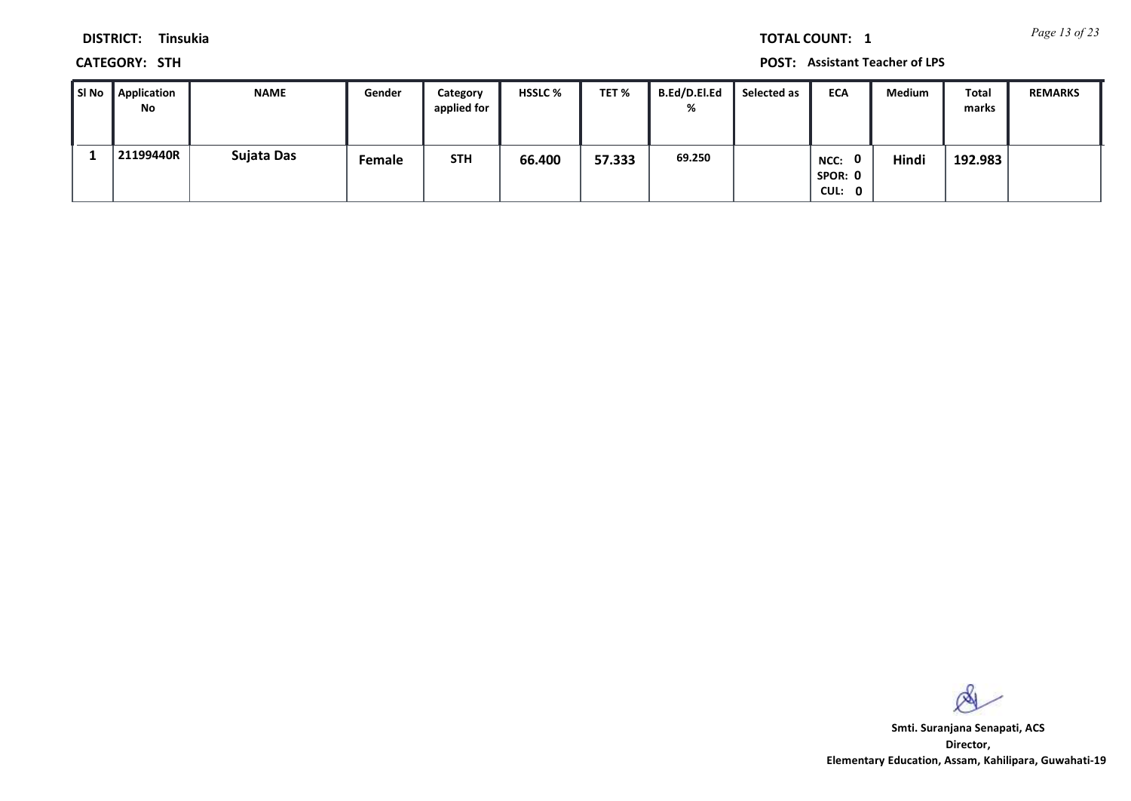*Page 13 of 23* **TOTAL COUNT: 1**

**DISTRICT: Tinsukia**

**CATEGORY: STH POST: Assistant Teacher of LPS**

| l SI No | Application<br>No | <b>NAME</b> | Gender | Category<br>applied for | <b>HSSLC %</b> | TET %  | B.Ed/D.El.Ed<br>% | Selected as | <b>ECA</b>                                | Medium | Total<br>marks | <b>REMARKS</b> |
|---------|-------------------|-------------|--------|-------------------------|----------------|--------|-------------------|-------------|-------------------------------------------|--------|----------------|----------------|
|         | 21199440R         | Sujata Das  | Female | <b>STH</b>              | 66.400         | 57.333 | 69.250            |             | $\mathbf{0}$<br>NCC:<br>SPOR: 0<br>CUL: 0 | Hindi  | 192.983        |                |

 $\infty$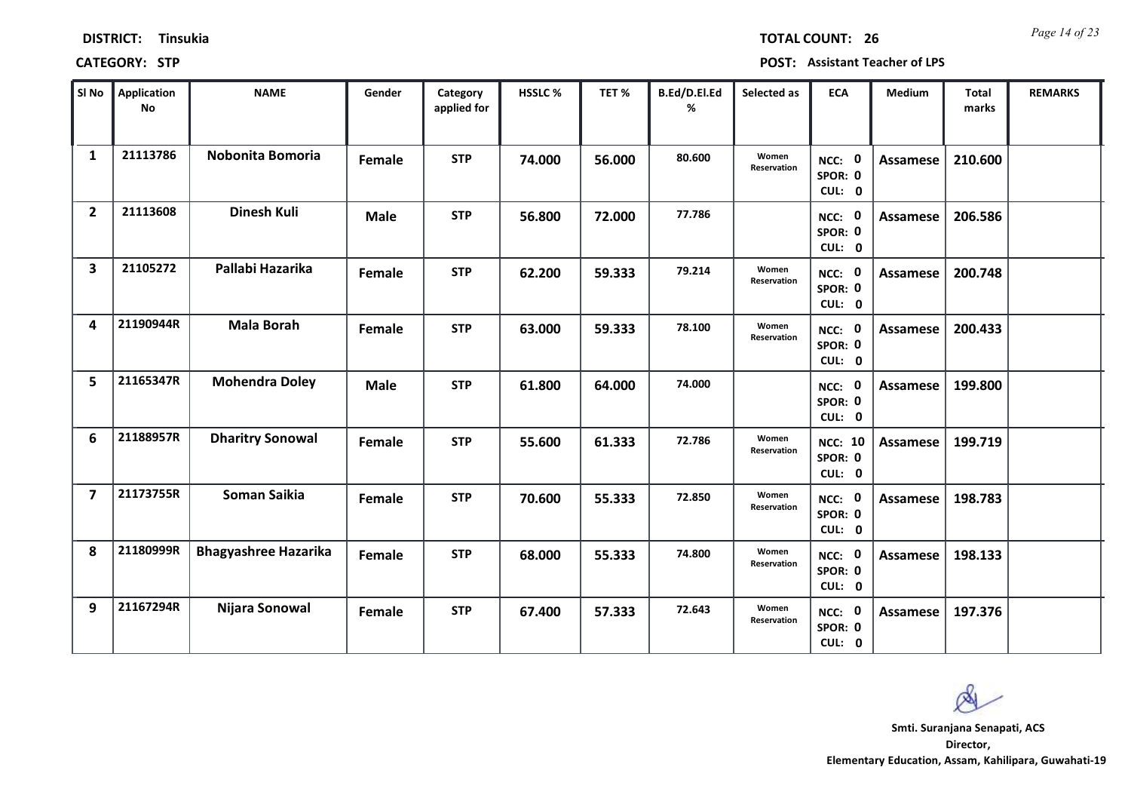| <b>DISTRICT:</b> | <b>Tinsukia</b> |
|------------------|-----------------|
|------------------|-----------------|

*Page 14 of 23* **TOTAL COUNT: 26**

| SI <sub>No</sub>        | <b>Application</b><br><b>No</b> | <b>NAME</b>                 | Gender      | Category<br>applied for | HSSLC % | TET%   | B.Ed/D.El.Ed<br>% | Selected as          | <b>ECA</b>                          | Medium          | <b>Total</b><br>marks | <b>REMARKS</b> |
|-------------------------|---------------------------------|-----------------------------|-------------|-------------------------|---------|--------|-------------------|----------------------|-------------------------------------|-----------------|-----------------------|----------------|
| 1                       | 21113786                        | Nobonita Bomoria            | Female      | <b>STP</b>              | 74.000  | 56.000 | 80.600            | Women<br>Reservation | NCC: 0<br>SPOR: 0<br>CUL: 0         | Assamese        | 210.600               |                |
| $\overline{2}$          | 21113608                        | <b>Dinesh Kuli</b>          | <b>Male</b> | <b>STP</b>              | 56.800  | 72.000 | 77.786            |                      | NCC: 0<br>SPOR: 0<br>CUL: 0         | <b>Assamese</b> | 206.586               |                |
| $\overline{\mathbf{3}}$ | 21105272                        | Pallabi Hazarika            | Female      | <b>STP</b>              | 62.200  | 59.333 | 79.214            | Women<br>Reservation | NCC: 0<br>SPOR: 0<br>CUL: 0         | <b>Assamese</b> | 200.748               |                |
| 4                       | 21190944R                       | <b>Mala Borah</b>           | Female      | <b>STP</b>              | 63.000  | 59.333 | 78.100            | Women<br>Reservation | NCC: 0<br>SPOR: 0<br>CUL: 0         | Assamese        | 200.433               |                |
| $5\phantom{a}$          | 21165347R                       | <b>Mohendra Doley</b>       | <b>Male</b> | <b>STP</b>              | 61.800  | 64.000 | 74.000            |                      | NCC: 0<br>SPOR: 0<br>CUL: 0         | <b>Assamese</b> | 199.800               |                |
| 6                       | 21188957R                       | <b>Dharitry Sonowal</b>     | Female      | <b>STP</b>              | 55.600  | 61.333 | 72.786            | Women<br>Reservation | <b>NCC: 10</b><br>SPOR: 0<br>CUL: 0 | <b>Assamese</b> | 199.719               |                |
| $\overline{7}$          | 21173755R                       | <b>Soman Saikia</b>         | Female      | <b>STP</b>              | 70.600  | 55.333 | 72.850            | Women<br>Reservation | NCC: 0<br>SPOR: 0<br>CUL: 0         | <b>Assamese</b> | 198.783               |                |
| 8                       | 21180999R                       | <b>Bhagyashree Hazarika</b> | Female      | <b>STP</b>              | 68.000  | 55.333 | 74.800            | Women<br>Reservation | NCC: 0<br>SPOR: 0<br>CUL: 0         | <b>Assamese</b> | 198.133               |                |
| 9                       | 21167294R                       | Nijara Sonowal              | Female      | <b>STP</b>              | 67.400  | 57.333 | 72.643            | Women<br>Reservation | NCC: 0<br>SPOR: 0<br>CUL: 0         | Assamese        | 197.376               |                |

 $\infty$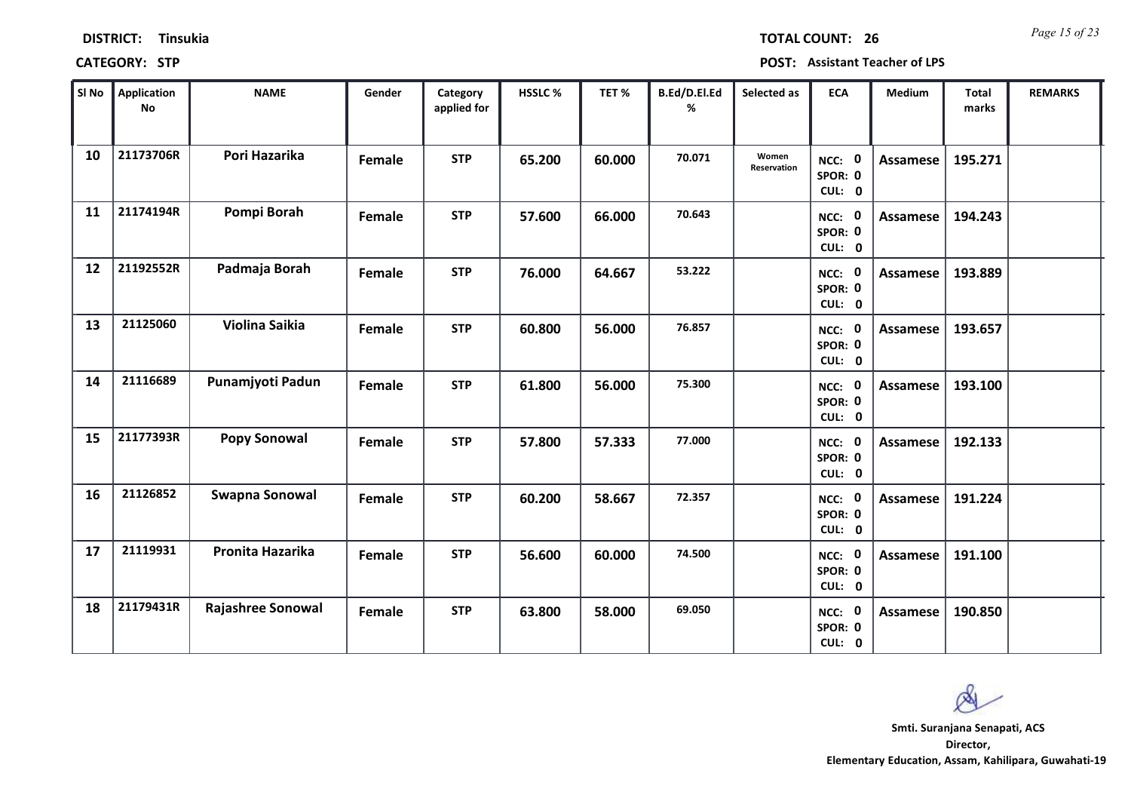*Page 15 of 23* **TOTAL COUNT: 26**

| SI <sub>No</sub> | <b>Application</b><br><b>No</b> | <b>NAME</b>         | Gender | Category<br>applied for | HSSLC % | TET %  | B.Ed/D.El.Ed<br>% | Selected as          | <b>ECA</b>                  | <b>Medium</b>   | <b>Total</b><br>marks | <b>REMARKS</b> |
|------------------|---------------------------------|---------------------|--------|-------------------------|---------|--------|-------------------|----------------------|-----------------------------|-----------------|-----------------------|----------------|
| 10               | 21173706R                       | Pori Hazarika       | Female | <b>STP</b>              | 65.200  | 60.000 | 70.071            | Women<br>Reservation | NCC: 0<br>SPOR: 0<br>CUL: 0 | Assamese        | 195.271               |                |
| 11               | 21174194R                       | Pompi Borah         | Female | <b>STP</b>              | 57.600  | 66.000 | 70.643            |                      | NCC: 0<br>SPOR: 0<br>CUL: 0 | <b>Assamese</b> | 194.243               |                |
| 12               | 21192552R                       | Padmaja Borah       | Female | <b>STP</b>              | 76.000  | 64.667 | 53.222            |                      | NCC: 0<br>SPOR: 0<br>CUL: 0 | <b>Assamese</b> | 193.889               |                |
| 13               | 21125060                        | Violina Saikia      | Female | <b>STP</b>              | 60.800  | 56.000 | 76.857            |                      | NCC: 0<br>SPOR: 0<br>CUL: 0 | <b>Assamese</b> | 193.657               |                |
| 14               | 21116689                        | Punamjyoti Padun    | Female | <b>STP</b>              | 61.800  | 56.000 | 75.300            |                      | NCC: 0<br>SPOR: 0<br>CUL: 0 | <b>Assamese</b> | 193.100               |                |
| 15               | 21177393R                       | <b>Popy Sonowal</b> | Female | <b>STP</b>              | 57.800  | 57.333 | 77.000            |                      | NCC: 0<br>SPOR: 0<br>CUL: 0 | Assamese        | 192.133               |                |
| 16               | 21126852                        | Swapna Sonowal      | Female | <b>STP</b>              | 60.200  | 58.667 | 72.357            |                      | NCC: 0<br>SPOR: 0<br>CUL: 0 | <b>Assamese</b> | 191.224               |                |
| 17               | 21119931                        | Pronita Hazarika    | Female | <b>STP</b>              | 56.600  | 60.000 | 74.500            |                      | NCC: 0<br>SPOR: 0<br>CUL: 0 | <b>Assamese</b> | 191.100               |                |
| 18               | 21179431R                       | Rajashree Sonowal   | Female | <b>STP</b>              | 63.800  | 58.000 | 69.050            |                      | NCC: 0<br>SPOR: 0<br>CUL: 0 | Assamese        | 190.850               |                |

 $\infty$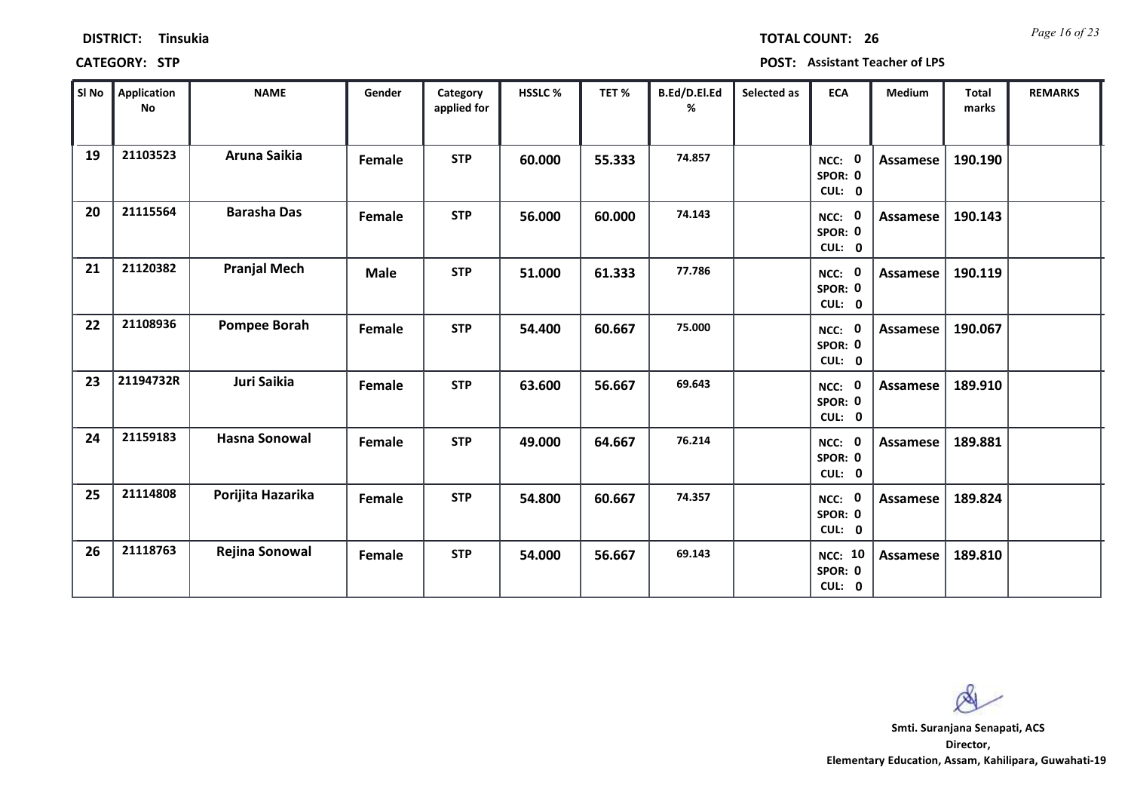| Sl No | <b>Application</b><br>No | <b>NAME</b>          | Gender      | Category<br>applied for | HSSLC % | TET %  | B.Ed/D.El.Ed<br>℅ | Selected as | <b>ECA</b>                          | <b>Medium</b>   | <b>Total</b><br>marks | <b>REMARKS</b> |
|-------|--------------------------|----------------------|-------------|-------------------------|---------|--------|-------------------|-------------|-------------------------------------|-----------------|-----------------------|----------------|
| 19    | 21103523                 | Aruna Saikia         | Female      | <b>STP</b>              | 60.000  | 55.333 | 74.857            |             | NCC: 0<br>SPOR: 0<br>CUL: 0         | <b>Assamese</b> | 190.190               |                |
| 20    | 21115564                 | <b>Barasha Das</b>   | Female      | <b>STP</b>              | 56.000  | 60.000 | 74.143            |             | NCC: 0<br>SPOR: 0<br>CUL: 0         | <b>Assamese</b> | 190.143               |                |
| 21    | 21120382                 | <b>Pranjal Mech</b>  | <b>Male</b> | <b>STP</b>              | 51.000  | 61.333 | 77.786            |             | NCC: 0<br>SPOR: 0<br>CUL: 0         | <b>Assamese</b> | 190.119               |                |
| 22    | 21108936                 | <b>Pompee Borah</b>  | Female      | <b>STP</b>              | 54.400  | 60.667 | 75.000            |             | NCC: 0<br>SPOR: 0<br>CUL: 0         | <b>Assamese</b> | 190.067               |                |
| 23    | 21194732R                | Juri Saikia          | Female      | <b>STP</b>              | 63.600  | 56.667 | 69.643            |             | NCC: 0<br>SPOR: 0<br>CUL: 0         | Assamese        | 189.910               |                |
| 24    | 21159183                 | <b>Hasna Sonowal</b> | Female      | <b>STP</b>              | 49.000  | 64.667 | 76.214            |             | NCC: 0<br>SPOR: 0<br>CUL: 0         | Assamese        | 189.881               |                |
| 25    | 21114808                 | Porijita Hazarika    | Female      | <b>STP</b>              | 54.800  | 60.667 | 74.357            |             | NCC: 0<br>SPOR: 0<br>CUL: 0         | Assamese        | 189.824               |                |
| 26    | 21118763                 | Rejina Sonowal       | Female      | <b>STP</b>              | 54.000  | 56.667 | 69.143            |             | <b>NCC: 10</b><br>SPOR: 0<br>CUL: 0 | Assamese        | 189.810               |                |

**CATEGORY: STP POST: Assistant Teacher of LPS**

**DISTRICT: Tinsukia**

*Page 16 of 23* **TOTAL COUNT: 26**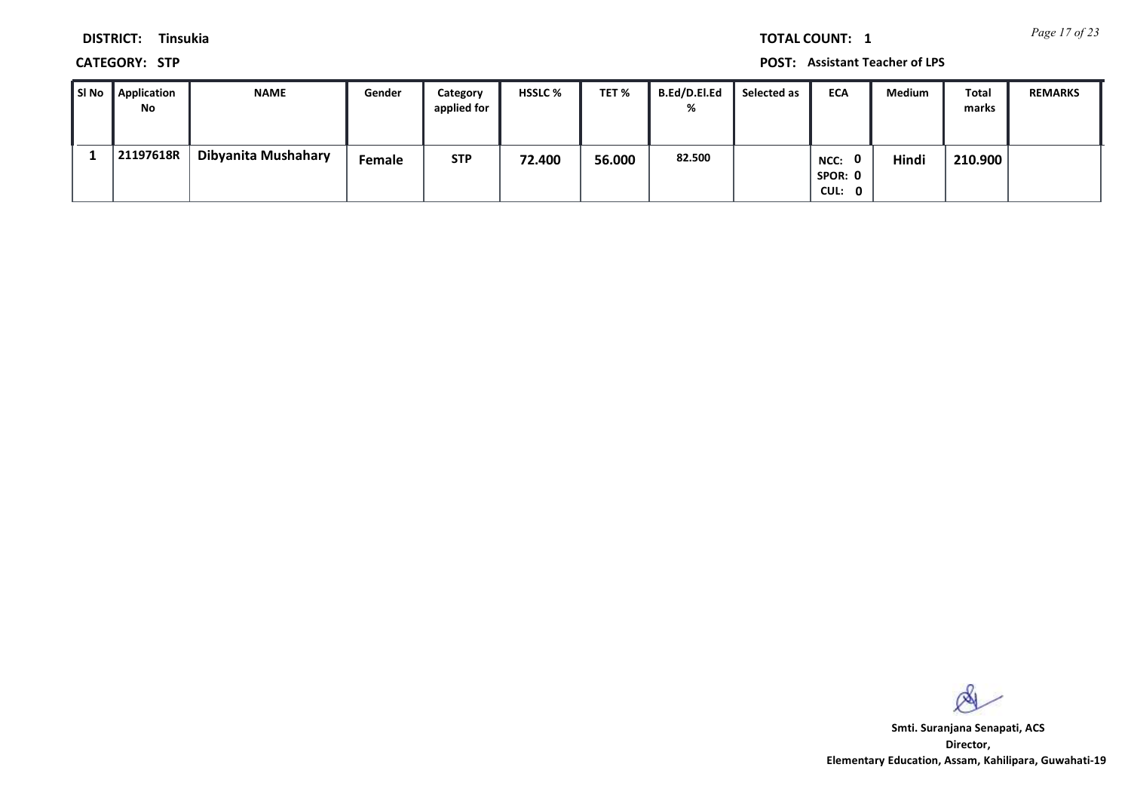*Page 17 of 23* **TOTAL COUNT: 1**

**DISTRICT: Tinsukia**

**CATEGORY: STP POST: Assistant Teacher of LPS**

| ∥SI No | Application<br>No | <b>NAME</b>         | Gender | Category<br>applied for | <b>HSSLC %</b> | TET %  | B.Ed/D.El.Ed<br>% | Selected as | <b>ECA</b>      | <b>Medium</b> | Total<br>marks | <b>REMARKS</b> |
|--------|-------------------|---------------------|--------|-------------------------|----------------|--------|-------------------|-------------|-----------------|---------------|----------------|----------------|
|        |                   |                     |        |                         |                |        |                   |             |                 |               |                |                |
|        | 21197618R         | Dibyanita Mushahary | Female | <b>STP</b>              | 72.400         | 56.000 | 82.500            |             | NCC:<br>SPOR: 0 | Hindi         | 210.900        |                |
|        |                   |                     |        |                         |                |        |                   |             | CUL: 0          |               |                |                |

 $\infty$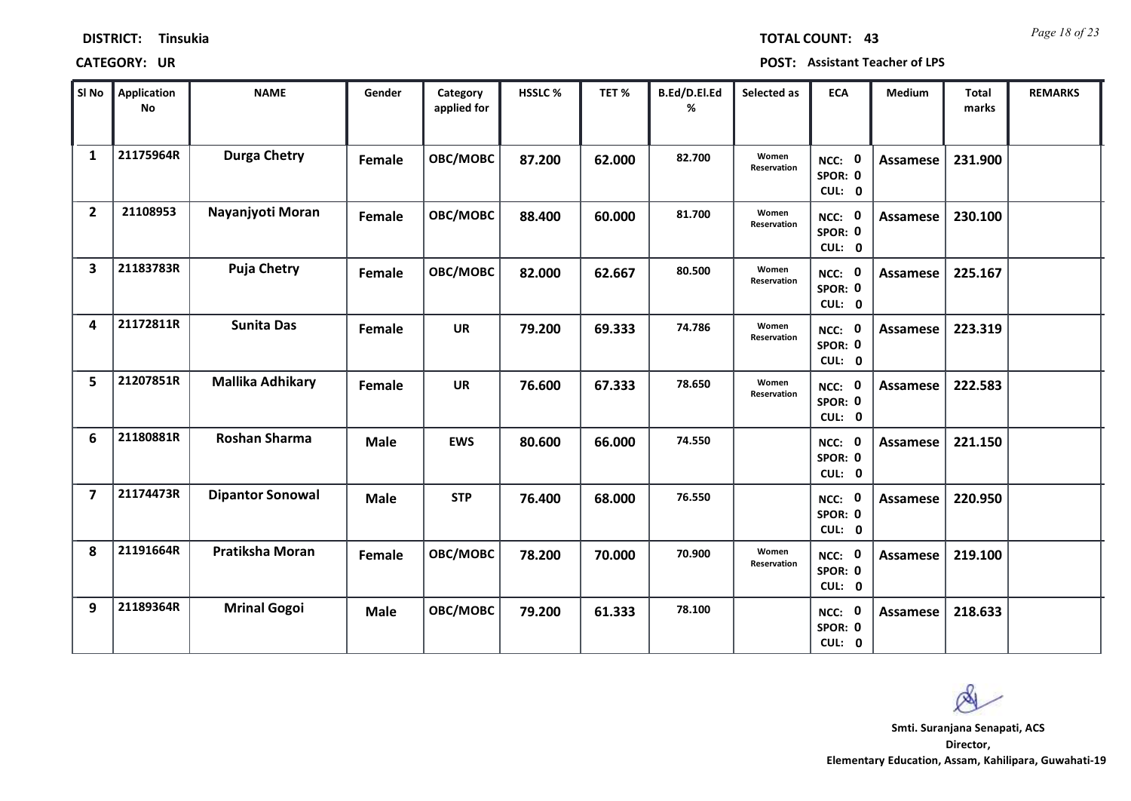| <b>DISTRICT:</b> | <b>Tinsukia</b> |
|------------------|-----------------|
|------------------|-----------------|

*Page 18 of 23* **TOTAL COUNT: 43**

| SI <sub>No</sub>        | <b>Application</b><br>No | <b>NAME</b>             | Gender      | Category<br>applied for | HSSLC % | TET %  | B.Ed/D.El.Ed<br>% | Selected as          | <b>ECA</b>                  | <b>Medium</b>   | <b>Total</b><br>marks | <b>REMARKS</b> |
|-------------------------|--------------------------|-------------------------|-------------|-------------------------|---------|--------|-------------------|----------------------|-----------------------------|-----------------|-----------------------|----------------|
| $\mathbf{1}$            | 21175964R                | <b>Durga Chetry</b>     | Female      | OBC/MOBC                | 87.200  | 62.000 | 82.700            | Women<br>Reservation | NCC: 0<br>SPOR: 0<br>CUL: 0 | Assamese        | 231.900               |                |
| $\overline{2}$          | 21108953                 | Nayanjyoti Moran        | Female      | OBC/MOBC                | 88.400  | 60.000 | 81.700            | Women<br>Reservation | NCC: 0<br>SPOR: 0<br>CUL: 0 | Assamese        | 230.100               |                |
| $\overline{\mathbf{3}}$ | 21183783R                | <b>Puja Chetry</b>      | Female      | OBC/MOBC                | 82.000  | 62.667 | 80.500            | Women<br>Reservation | NCC: 0<br>SPOR: 0<br>CUL: 0 | <b>Assamese</b> | 225.167               |                |
| 4                       | 21172811R                | <b>Sunita Das</b>       | Female      | <b>UR</b>               | 79.200  | 69.333 | 74.786            | Women<br>Reservation | NCC: 0<br>SPOR: 0<br>CUL: 0 | Assamese        | 223.319               |                |
| 5                       | 21207851R                | <b>Mallika Adhikary</b> | Female      | <b>UR</b>               | 76.600  | 67.333 | 78.650            | Women<br>Reservation | NCC: 0<br>SPOR: 0<br>CUL: 0 | <b>Assamese</b> | 222.583               |                |
| 6                       | 21180881R                | Roshan Sharma           | <b>Male</b> | <b>EWS</b>              | 80.600  | 66.000 | 74.550            |                      | NCC: 0<br>SPOR: 0<br>CUL: 0 | <b>Assamese</b> | 221.150               |                |
| $\overline{\mathbf{z}}$ | 21174473R                | <b>Dipantor Sonowal</b> | <b>Male</b> | <b>STP</b>              | 76.400  | 68.000 | 76.550            |                      | NCC: 0<br>SPOR: 0<br>CUL: 0 | Assamese        | 220.950               |                |
| 8                       | 21191664R                | Pratiksha Moran         | Female      | OBC/MOBC                | 78.200  | 70.000 | 70.900            | Women<br>Reservation | NCC: 0<br>SPOR: 0<br>CUL: 0 | <b>Assamese</b> | 219.100               |                |
| 9                       | 21189364R                | <b>Mrinal Gogoi</b>     | <b>Male</b> | OBC/MOBC                | 79.200  | 61.333 | 78.100            |                      | NCC: 0<br>SPOR: 0<br>CUL: 0 | Assamese        | 218.633               |                |

 $\infty$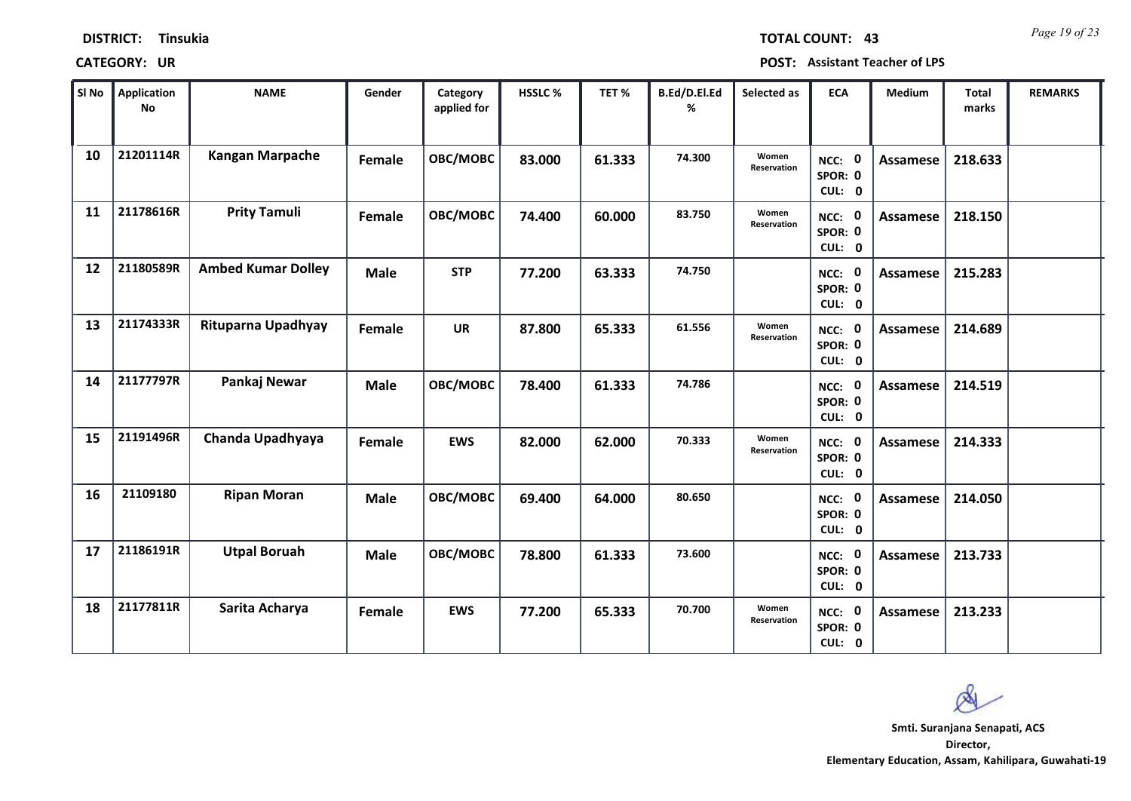*Page 19 of 23* **TOTAL COUNT: 43**

| SI No | Application<br>No | <b>NAME</b>               | Gender      | Category<br>applied for | <b>HSSLC %</b> | TET%   | B.Ed/D.El.Ed<br>% | Selected as          | <b>ECA</b>                  | <b>Medium</b>   | <b>Total</b><br>marks | <b>REMARKS</b> |
|-------|-------------------|---------------------------|-------------|-------------------------|----------------|--------|-------------------|----------------------|-----------------------------|-----------------|-----------------------|----------------|
| 10    | 21201114R         | <b>Kangan Marpache</b>    | Female      | OBC/MOBC                | 83.000         | 61.333 | 74.300            | Women<br>Reservation | NCC: 0<br>SPOR: 0<br>CUL: 0 | <b>Assamese</b> | 218.633               |                |
| 11    | 21178616R         | <b>Prity Tamuli</b>       | Female      | OBC/MOBC                | 74.400         | 60.000 | 83.750            | Women<br>Reservation | NCC: 0<br>SPOR: 0<br>CUL: 0 | Assamese        | 218.150               |                |
| 12    | 21180589R         | <b>Ambed Kumar Dolley</b> | <b>Male</b> | <b>STP</b>              | 77.200         | 63.333 | 74.750            |                      | NCC: 0<br>SPOR: 0<br>CUL: 0 | Assamese        | 215.283               |                |
| 13    | 21174333R         | Rituparna Upadhyay        | Female      | <b>UR</b>               | 87.800         | 65.333 | 61.556            | Women<br>Reservation | NCC: 0<br>SPOR: 0<br>CUL: 0 | Assamese        | 214.689               |                |
| 14    | 21177797R         | Pankaj Newar              | <b>Male</b> | OBC/MOBC                | 78.400         | 61.333 | 74.786            |                      | NCC: 0<br>SPOR: 0<br>CUL: 0 | Assamese        | 214.519               |                |
| 15    | 21191496R         | Chanda Upadhyaya          | Female      | <b>EWS</b>              | 82.000         | 62.000 | 70.333            | Women<br>Reservation | NCC: 0<br>SPOR: 0<br>CUL: 0 | Assamese        | 214.333               |                |
| 16    | 21109180          | <b>Ripan Moran</b>        | <b>Male</b> | <b>OBC/MOBC</b>         | 69.400         | 64.000 | 80.650            |                      | NCC: 0<br>SPOR: 0<br>CUL: 0 | Assamese        | 214.050               |                |
| 17    | 21186191R         | <b>Utpal Boruah</b>       | <b>Male</b> | OBC/MOBC                | 78.800         | 61.333 | 73.600            |                      | NCC: 0<br>SPOR: 0<br>CUL: 0 | <b>Assamese</b> | 213.733               |                |
| 18    | 21177811R         | Sarita Acharya            | Female      | <b>EWS</b>              | 77.200         | 65.333 | 70.700            | Women<br>Reservation | NCC: 0<br>SPOR: 0<br>CUL: 0 | Assamese        | 213.233               |                |

 $\infty$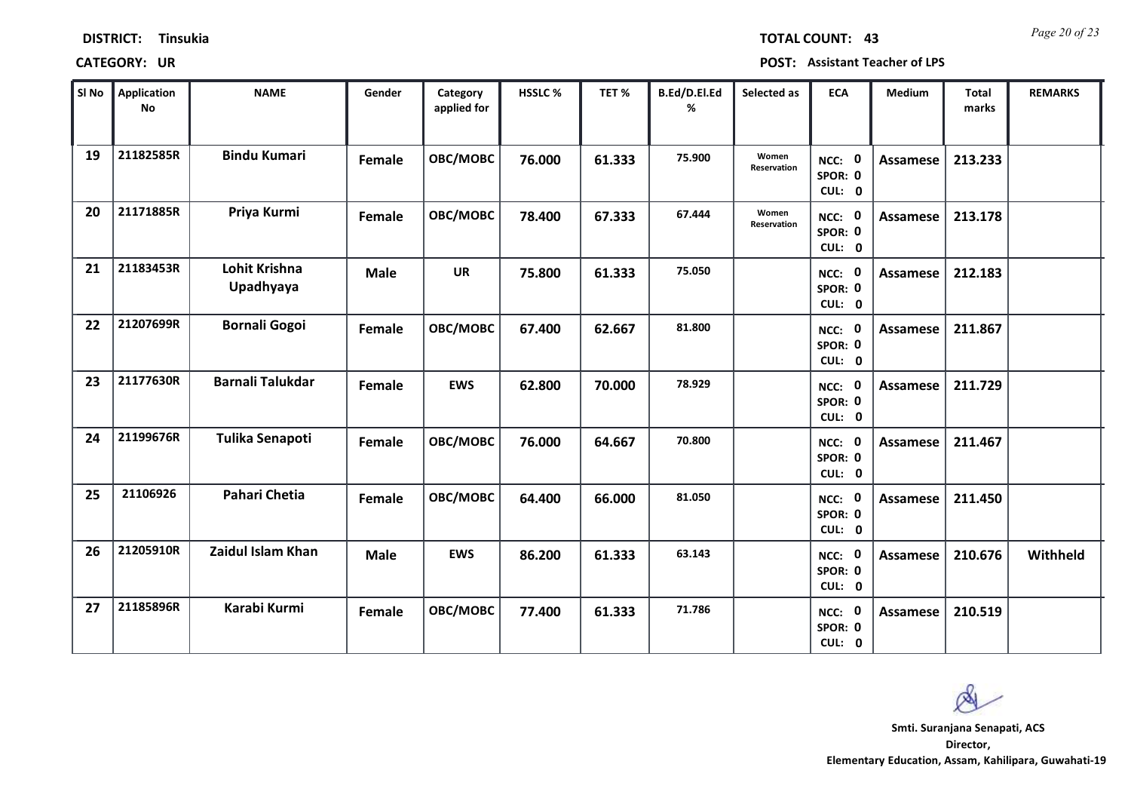| <b>DISTRICT:</b> | <b>Tinsukia</b> |
|------------------|-----------------|
|------------------|-----------------|

*Page 20 of 23* **TOTAL COUNT: 43**

| SI No | <b>Application</b><br>No | <b>NAME</b>                | Gender      | Category<br>applied for | <b>HSSLC %</b> | TET %  | B.Ed/D.El.Ed<br>% | Selected as          | <b>ECA</b>                  | <b>Medium</b>   | <b>Total</b><br>marks | <b>REMARKS</b> |
|-------|--------------------------|----------------------------|-------------|-------------------------|----------------|--------|-------------------|----------------------|-----------------------------|-----------------|-----------------------|----------------|
| 19    | 21182585R                | <b>Bindu Kumari</b>        | Female      | OBC/MOBC                | 76.000         | 61.333 | 75.900            | Women<br>Reservation | NCC: 0<br>SPOR: 0<br>CUL: 0 | Assamese        | 213.233               |                |
| 20    | 21171885R                | Priya Kurmi                | Female      | OBC/MOBC                | 78.400         | 67.333 | 67.444            | Women<br>Reservation | NCC: 0<br>SPOR: 0<br>CUL: 0 | Assamese        | 213.178               |                |
| 21    | 21183453R                | Lohit Krishna<br>Upadhyaya | <b>Male</b> | <b>UR</b>               | 75.800         | 61.333 | 75.050            |                      | NCC: 0<br>SPOR: 0<br>CUL: 0 | <b>Assamese</b> | 212.183               |                |
| 22    | 21207699R                | <b>Bornali Gogoi</b>       | Female      | OBC/MOBC                | 67.400         | 62.667 | 81.800            |                      | NCC: 0<br>SPOR: 0<br>CUL: 0 | Assamese        | 211.867               |                |
| 23    | 21177630R                | <b>Barnali Talukdar</b>    | Female      | <b>EWS</b>              | 62.800         | 70.000 | 78.929            |                      | NCC: 0<br>SPOR: 0<br>CUL: 0 | Assamese        | 211.729               |                |
| 24    | 21199676R                | Tulika Senapoti            | Female      | OBC/MOBC                | 76.000         | 64.667 | 70.800            |                      | NCC: 0<br>SPOR: 0<br>CUL: 0 | Assamese        | 211.467               |                |
| 25    | 21106926                 | <b>Pahari Chetia</b>       | Female      | OBC/MOBC                | 64.400         | 66.000 | 81.050            |                      | NCC: 0<br>SPOR: 0<br>CUL: 0 | Assamese        | 211.450               |                |
| 26    | 21205910R                | Zaidul Islam Khan          | <b>Male</b> | <b>EWS</b>              | 86.200         | 61.333 | 63.143            |                      | NCC: 0<br>SPOR: 0<br>CUL: 0 | <b>Assamese</b> | 210.676               | Withheld       |
| 27    | 21185896R                | Karabi Kurmi               | Female      | OBC/MOBC                | 77.400         | 61.333 | 71.786            |                      | NCC: 0<br>SPOR: 0<br>CUL: 0 | Assamese        | 210.519               |                |

 $\infty$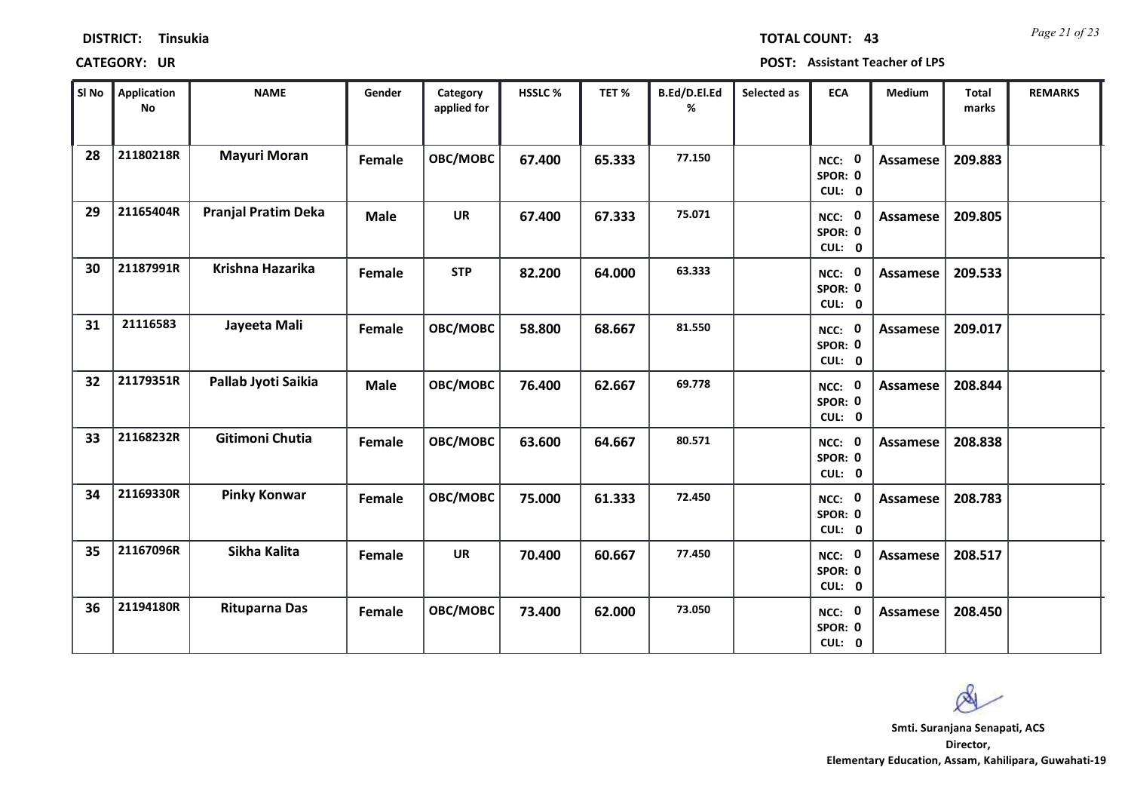| <b>DISTRICT:</b> | <b>Tinsukia</b> |
|------------------|-----------------|
|------------------|-----------------|

*Page 21 of 23* **TOTAL COUNT: 43**

| SI <sub>No</sub> | Application<br>No | <b>NAME</b>                | Gender      | Category<br>applied for | <b>HSSLC %</b> | TET %  | B.Ed/D.El.Ed<br>% | Selected as | <b>ECA</b>                  | <b>Medium</b>   | Total<br>marks | <b>REMARKS</b> |
|------------------|-------------------|----------------------------|-------------|-------------------------|----------------|--------|-------------------|-------------|-----------------------------|-----------------|----------------|----------------|
| 28               | 21180218R         | <b>Mayuri Moran</b>        | Female      | OBC/MOBC                | 67.400         | 65.333 | 77.150            |             | NCC: 0<br>SPOR: 0<br>CUL: 0 | <b>Assamese</b> | 209.883        |                |
| 29               | 21165404R         | <b>Pranjal Pratim Deka</b> | <b>Male</b> | <b>UR</b>               | 67.400         | 67.333 | 75.071            |             | NCC: 0<br>SPOR: 0<br>CUL: 0 | Assamese        | 209.805        |                |
| 30               | 21187991R         | Krishna Hazarika           | Female      | <b>STP</b>              | 82.200         | 64.000 | 63.333            |             | NCC: 0<br>SPOR: 0<br>CUL: 0 | <b>Assamese</b> | 209.533        |                |
| 31               | 21116583          | Jayeeta Mali               | Female      | <b>OBC/MOBC</b>         | 58.800         | 68.667 | 81.550            |             | NCC: 0<br>SPOR: 0<br>CUL: 0 | <b>Assamese</b> | 209.017        |                |
| 32               | 21179351R         | Pallab Jyoti Saikia        | <b>Male</b> | OBC/MOBC                | 76.400         | 62.667 | 69.778            |             | NCC: 0<br>SPOR: 0<br>CUL: 0 | <b>Assamese</b> | 208.844        |                |
| 33               | 21168232R         | Gitimoni Chutia            | Female      | OBC/MOBC                | 63.600         | 64.667 | 80.571            |             | NCC: 0<br>SPOR: 0<br>CUL: 0 | <b>Assamese</b> | 208.838        |                |
| 34               | 21169330R         | <b>Pinky Konwar</b>        | Female      | <b>OBC/MOBC</b>         | 75.000         | 61.333 | 72.450            |             | NCC: 0<br>SPOR: 0<br>CUL: 0 | <b>Assamese</b> | 208.783        |                |
| 35               | 21167096R         | Sikha Kalita               | Female      | <b>UR</b>               | 70.400         | 60.667 | 77.450            |             | NCC: 0<br>SPOR: 0<br>CUL: 0 | <b>Assamese</b> | 208.517        |                |
| 36               | 21194180R         | <b>Rituparna Das</b>       | Female      | OBC/MOBC                | 73.400         | 62.000 | 73.050            |             | NCC: 0<br>SPOR: 0<br>CUL: 0 | Assamese        | 208.450        |                |

 $\infty$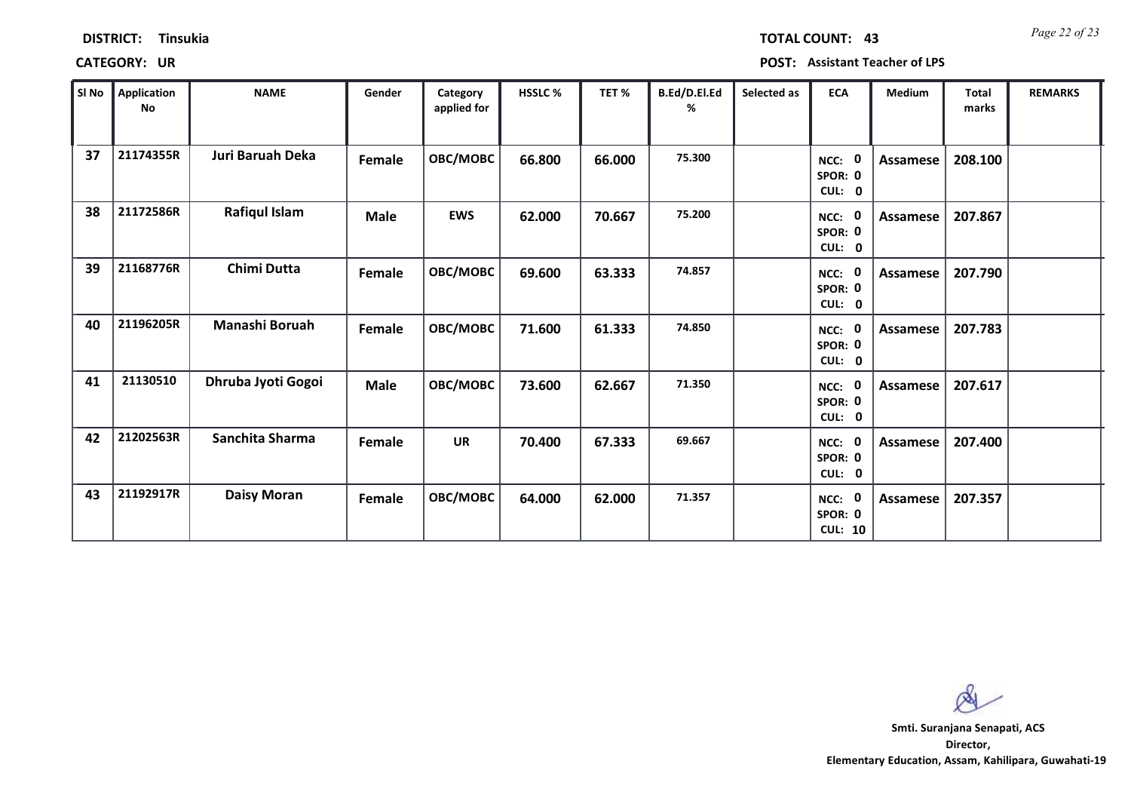| <b>DISTRICT:</b><br><b>Tinsukia</b> |  |
|-------------------------------------|--|
|-------------------------------------|--|

**CATEGORY: UR POST: Assistant Teacher of LPS**

| SI No | Application<br>No | <b>NAME</b>        | Gender      | Category<br>applied for | <b>HSSLC %</b> | TET %  | B.Ed/D.El.Ed<br>℅ | Selected as | <b>ECA</b>                          | <b>Medium</b>   | <b>Total</b><br>marks | <b>REMARKS</b> |
|-------|-------------------|--------------------|-------------|-------------------------|----------------|--------|-------------------|-------------|-------------------------------------|-----------------|-----------------------|----------------|
| 37    | 21174355R         | Juri Baruah Deka   | Female      | OBC/MOBC                | 66.800         | 66.000 | 75.300            |             | NCC: 0<br>SPOR: 0<br>CUL: 0         | Assamese        | 208.100               |                |
| 38    | 21172586R         | Rafiqul Islam      | <b>Male</b> | <b>EWS</b>              | 62.000         | 70.667 | 75.200            |             | NCC: 0<br>SPOR: 0<br>CUL: 0         | Assamese        | 207.867               |                |
| 39    | 21168776R         | Chimi Dutta        | Female      | OBC/MOBC                | 69.600         | 63.333 | 74.857            |             | NCC: 0<br>SPOR: 0<br>CUL: 0         | Assamese        | 207.790               |                |
| 40    | 21196205R         | Manashi Boruah     | Female      | OBC/MOBC                | 71.600         | 61.333 | 74.850            |             | - 0<br>NCC:<br>SPOR: 0<br>CUL: 0    | Assamese        | 207.783               |                |
| 41    | 21130510          | Dhruba Jyoti Gogoi | <b>Male</b> | OBC/MOBC                | 73.600         | 62.667 | 71.350            |             | NCC: 0<br>SPOR: 0<br>CUL: 0         | Assamese        | 207.617               |                |
| 42    | 21202563R         | Sanchita Sharma    | Female      | <b>UR</b>               | 70.400         | 67.333 | 69.667            |             | NCC: 0<br>SPOR: 0<br>CUL: 0         | Assamese        | 207.400               |                |
| 43    | 21192917R         | <b>Daisy Moran</b> | Female      | OBC/MOBC                | 64.000         | 62.000 | 71.357            |             | NCC: 0<br>SPOR: 0<br><b>CUL: 10</b> | <b>Assamese</b> | 207.357               |                |

 $\infty$